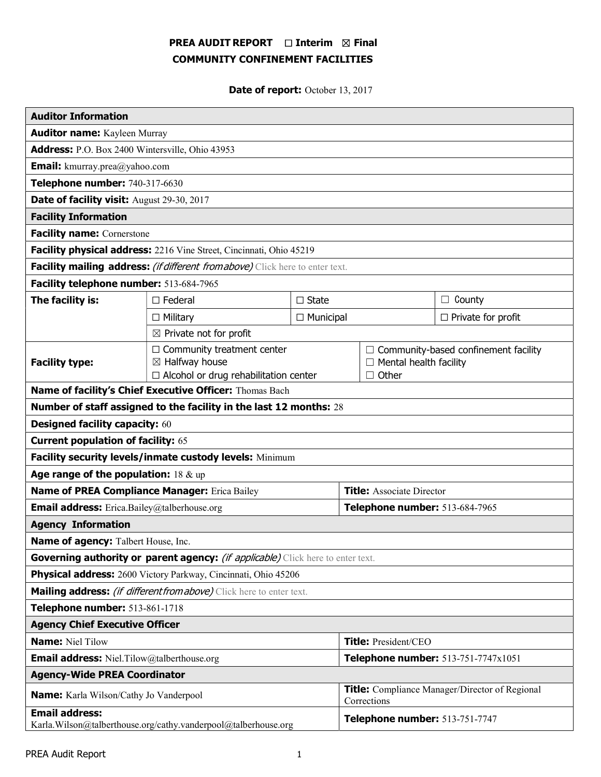# PREA AUDIT REPORT □ Interim 図 Final COMMUNITY CONFINEMENT FACILITIES

Date of report: October 13, 2017

| <b>Auditor Information</b>                                                              |                                                                                                                |                                     |                                                                      |                               |                                             |  |
|-----------------------------------------------------------------------------------------|----------------------------------------------------------------------------------------------------------------|-------------------------------------|----------------------------------------------------------------------|-------------------------------|---------------------------------------------|--|
| <b>Auditor name:</b> Kayleen Murray                                                     |                                                                                                                |                                     |                                                                      |                               |                                             |  |
| Address: P.O. Box 2400 Wintersville, Ohio 43953                                         |                                                                                                                |                                     |                                                                      |                               |                                             |  |
| <b>Email:</b> kmurray.prea@yahoo.com                                                    |                                                                                                                |                                     |                                                                      |                               |                                             |  |
| Telephone number: 740-317-6630                                                          |                                                                                                                |                                     |                                                                      |                               |                                             |  |
| Date of facility visit: August 29-30, 2017                                              |                                                                                                                |                                     |                                                                      |                               |                                             |  |
| <b>Facility Information</b>                                                             |                                                                                                                |                                     |                                                                      |                               |                                             |  |
| <b>Facility name: Cornerstone</b>                                                       |                                                                                                                |                                     |                                                                      |                               |                                             |  |
| Facility physical address: 2216 Vine Street, Cincinnati, Ohio 45219                     |                                                                                                                |                                     |                                                                      |                               |                                             |  |
| Facility mailing address: (if different from above) Click here to enter text.           |                                                                                                                |                                     |                                                                      |                               |                                             |  |
| Facility telephone number: 513-684-7965                                                 |                                                                                                                |                                     |                                                                      |                               |                                             |  |
| The facility is:                                                                        | $\Box$ Federal                                                                                                 | $\Box$ State                        |                                                                      |                               | $\Box$ County                               |  |
|                                                                                         | $\Box$ Military                                                                                                | $\Box$ Municipal                    |                                                                      |                               | $\Box$ Private for profit                   |  |
| $\boxtimes$ Private not for profit                                                      |                                                                                                                |                                     |                                                                      |                               |                                             |  |
| <b>Facility type:</b>                                                                   | $\Box$ Community treatment center<br>$\boxtimes$ Halfway house<br>$\Box$ Alcohol or drug rehabilitation center | $\Box$ Other                        |                                                                      | $\Box$ Mental health facility | $\Box$ Community-based confinement facility |  |
| Name of facility's Chief Executive Officer: Thomas Bach                                 |                                                                                                                |                                     |                                                                      |                               |                                             |  |
| Number of staff assigned to the facility in the last 12 months: 28                      |                                                                                                                |                                     |                                                                      |                               |                                             |  |
| <b>Designed facility capacity: 60</b>                                                   |                                                                                                                |                                     |                                                                      |                               |                                             |  |
| <b>Current population of facility: 65</b>                                               |                                                                                                                |                                     |                                                                      |                               |                                             |  |
| Facility security levels/inmate custody levels: Minimum                                 |                                                                                                                |                                     |                                                                      |                               |                                             |  |
| Age range of the population: $18 \& up$                                                 |                                                                                                                |                                     |                                                                      |                               |                                             |  |
| Name of PREA Compliance Manager: Erica Bailey                                           |                                                                                                                |                                     | <b>Title:</b> Associate Director                                     |                               |                                             |  |
| <b>Email address:</b> Erica.Bailey@talberhouse.org                                      |                                                                                                                |                                     | Telephone number: 513-684-7965                                       |                               |                                             |  |
| <b>Agency Information</b>                                                               |                                                                                                                |                                     |                                                                      |                               |                                             |  |
| Name of agency: Talbert House, Inc.                                                     |                                                                                                                |                                     |                                                                      |                               |                                             |  |
| Governing authority or parent agency: <i>(if applicable)</i> Click here to enter text.  |                                                                                                                |                                     |                                                                      |                               |                                             |  |
| Physical address: 2600 Victory Parkway, Cincinnati, Ohio 45206                          |                                                                                                                |                                     |                                                                      |                               |                                             |  |
| Mailing address: <i>(if different from above)</i> Click here to enter text.             |                                                                                                                |                                     |                                                                      |                               |                                             |  |
| Telephone number: 513-861-1718                                                          |                                                                                                                |                                     |                                                                      |                               |                                             |  |
| <b>Agency Chief Executive Officer</b>                                                   |                                                                                                                |                                     |                                                                      |                               |                                             |  |
| <b>Name: Niel Tilow</b>                                                                 |                                                                                                                |                                     | Title: President/CEO                                                 |                               |                                             |  |
| <b>Email address:</b> Niel.Tilow@talberthouse.org                                       |                                                                                                                | Telephone number: 513-751-7747x1051 |                                                                      |                               |                                             |  |
| <b>Agency-Wide PREA Coordinator</b>                                                     |                                                                                                                |                                     |                                                                      |                               |                                             |  |
| <b>Name:</b> Karla Wilson/Cathy Jo Vanderpool                                           |                                                                                                                |                                     | <b>Title:</b> Compliance Manager/Director of Regional<br>Corrections |                               |                                             |  |
| <b>Email address:</b><br>Karla.Wilson@talberthouse.org/cathy.vanderpool@talberhouse.org |                                                                                                                |                                     | Telephone number: 513-751-7747                                       |                               |                                             |  |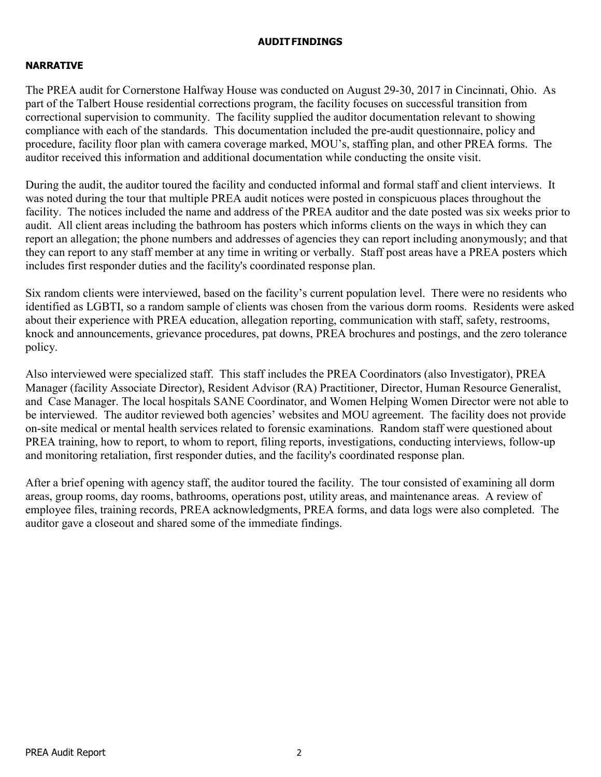### AUDIT FINDINGS

## NARRATIVE

The PREA audit for Cornerstone Halfway House was conducted on August 29-30, 2017 in Cincinnati, Ohio. As part of the Talbert House residential corrections program, the facility focuses on successful transition from correctional supervision to community. The facility supplied the auditor documentation relevant to showing compliance with each of the standards. This documentation included the pre-audit questionnaire, policy and procedure, facility floor plan with camera coverage marked, MOU's, staffing plan, and other PREA forms. The auditor received this information and additional documentation while conducting the onsite visit.

During the audit, the auditor toured the facility and conducted informal and formal staff and client interviews. It was noted during the tour that multiple PREA audit notices were posted in conspicuous places throughout the facility. The notices included the name and address of the PREA auditor and the date posted was six weeks prior to audit. All client areas including the bathroom has posters which informs clients on the ways in which they can report an allegation; the phone numbers and addresses of agencies they can report including anonymously; and that they can report to any staff member at any time in writing or verbally. Staff post areas have a PREA posters which includes first responder duties and the facility's coordinated response plan.

Six random clients were interviewed, based on the facility's current population level. There were no residents who identified as LGBTI, so a random sample of clients was chosen from the various dorm rooms. Residents were asked about their experience with PREA education, allegation reporting, communication with staff, safety, restrooms, knock and announcements, grievance procedures, pat downs, PREA brochures and postings, and the zero tolerance policy.

Also interviewed were specialized staff. This staff includes the PREA Coordinators (also Investigator), PREA Manager (facility Associate Director), Resident Advisor (RA) Practitioner, Director, Human Resource Generalist, and Case Manager. The local hospitals SANE Coordinator, and Women Helping Women Director were not able to be interviewed. The auditor reviewed both agencies' websites and MOU agreement. The facility does not provide on-site medical or mental health services related to forensic examinations. Random staff were questioned about PREA training, how to report, to whom to report, filing reports, investigations, conducting interviews, follow-up and monitoring retaliation, first responder duties, and the facility's coordinated response plan.

After a brief opening with agency staff, the auditor toured the facility. The tour consisted of examining all dorm areas, group rooms, day rooms, bathrooms, operations post, utility areas, and maintenance areas. A review of employee files, training records, PREA acknowledgments, PREA forms, and data logs were also completed. The auditor gave a closeout and shared some of the immediate findings.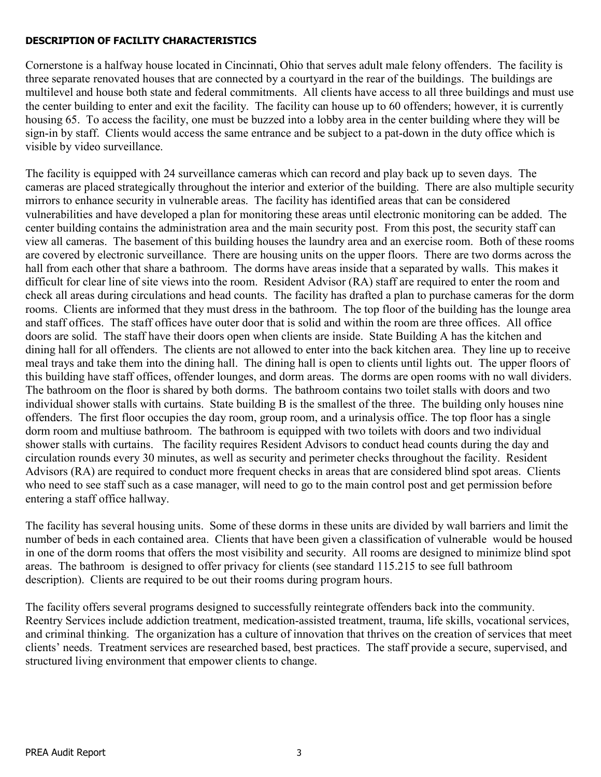# DESCRIPTION OF FACILITY CHARACTERISTICS

Cornerstone is a halfway house located in Cincinnati, Ohio that serves adult male felony offenders. The facility is three separate renovated houses that are connected by a courtyard in the rear of the buildings. The buildings are multilevel and house both state and federal commitments. All clients have access to all three buildings and must use the center building to enter and exit the facility. The facility can house up to 60 offenders; however, it is currently housing 65. To access the facility, one must be buzzed into a lobby area in the center building where they will be sign-in by staff. Clients would access the same entrance and be subject to a pat-down in the duty office which is visible by video surveillance.

The facility is equipped with 24 surveillance cameras which can record and play back up to seven days. The cameras are placed strategically throughout the interior and exterior of the building. There are also multiple security mirrors to enhance security in vulnerable areas. The facility has identified areas that can be considered vulnerabilities and have developed a plan for monitoring these areas until electronic monitoring can be added. The center building contains the administration area and the main security post. From this post, the security staff can view all cameras. The basement of this building houses the laundry area and an exercise room. Both of these rooms are covered by electronic surveillance. There are housing units on the upper floors. There are two dorms across the hall from each other that share a bathroom. The dorms have areas inside that a separated by walls. This makes it difficult for clear line of site views into the room. Resident Advisor (RA) staff are required to enter the room and check all areas during circulations and head counts. The facility has drafted a plan to purchase cameras for the dorm rooms. Clients are informed that they must dress in the bathroom. The top floor of the building has the lounge area and staff offices. The staff offices have outer door that is solid and within the room are three offices. All office doors are solid. The staff have their doors open when clients are inside. State Building A has the kitchen and dining hall for all offenders. The clients are not allowed to enter into the back kitchen area. They line up to receive meal trays and take them into the dining hall. The dining hall is open to clients until lights out. The upper floors of this building have staff offices, offender lounges, and dorm areas. The dorms are open rooms with no wall dividers. The bathroom on the floor is shared by both dorms. The bathroom contains two toilet stalls with doors and two individual shower stalls with curtains. State building B is the smallest of the three. The building only houses nine offenders. The first floor occupies the day room, group room, and a urinalysis office. The top floor has a single dorm room and multiuse bathroom. The bathroom is equipped with two toilets with doors and two individual shower stalls with curtains. The facility requires Resident Advisors to conduct head counts during the day and circulation rounds every 30 minutes, as well as security and perimeter checks throughout the facility. Resident Advisors (RA) are required to conduct more frequent checks in areas that are considered blind spot areas. Clients who need to see staff such as a case manager, will need to go to the main control post and get permission before entering a staff office hallway.

The facility has several housing units. Some of these dorms in these units are divided by wall barriers and limit the number of beds in each contained area. Clients that have been given a classification of vulnerable would be housed in one of the dorm rooms that offers the most visibility and security. All rooms are designed to minimize blind spot areas. The bathroom is designed to offer privacy for clients (see standard 115.215 to see full bathroom description). Clients are required to be out their rooms during program hours.

The facility offers several programs designed to successfully reintegrate offenders back into the community. Reentry Services include addiction treatment, medication-assisted treatment, trauma, life skills, vocational services, and criminal thinking. The organization has a culture of innovation that thrives on the creation of services that meet clients' needs. Treatment services are researched based, best practices. The staff provide a secure, supervised, and structured living environment that empower clients to change.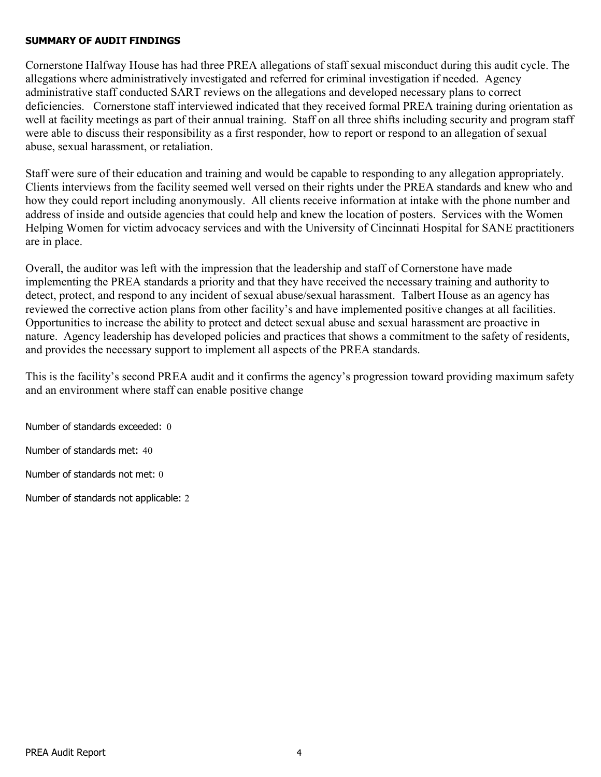### SUMMARY OF AUDIT FINDINGS

Cornerstone Halfway House has had three PREA allegations of staff sexual misconduct during this audit cycle. The allegations where administratively investigated and referred for criminal investigation if needed. Agency administrative staff conducted SART reviews on the allegations and developed necessary plans to correct deficiencies. Cornerstone staff interviewed indicated that they received formal PREA training during orientation as well at facility meetings as part of their annual training. Staff on all three shifts including security and program staff were able to discuss their responsibility as a first responder, how to report or respond to an allegation of sexual abuse, sexual harassment, or retaliation.

Staff were sure of their education and training and would be capable to responding to any allegation appropriately. Clients interviews from the facility seemed well versed on their rights under the PREA standards and knew who and how they could report including anonymously. All clients receive information at intake with the phone number and address of inside and outside agencies that could help and knew the location of posters. Services with the Women Helping Women for victim advocacy services and with the University of Cincinnati Hospital for SANE practitioners are in place.

Overall, the auditor was left with the impression that the leadership and staff of Cornerstone have made implementing the PREA standards a priority and that they have received the necessary training and authority to detect, protect, and respond to any incident of sexual abuse/sexual harassment. Talbert House as an agency has reviewed the corrective action plans from other facility's and have implemented positive changes at all facilities. Opportunities to increase the ability to protect and detect sexual abuse and sexual harassment are proactive in nature. Agency leadership has developed policies and practices that shows a commitment to the safety of residents, and provides the necessary support to implement all aspects of the PREA standards.

This is the facility's second PREA audit and it confirms the agency's progression toward providing maximum safety and an environment where staff can enable positive change

Number of standards exceeded: 0 Number of standards met: 40 Number of standards not met: 0 Number of standards not applicable: 2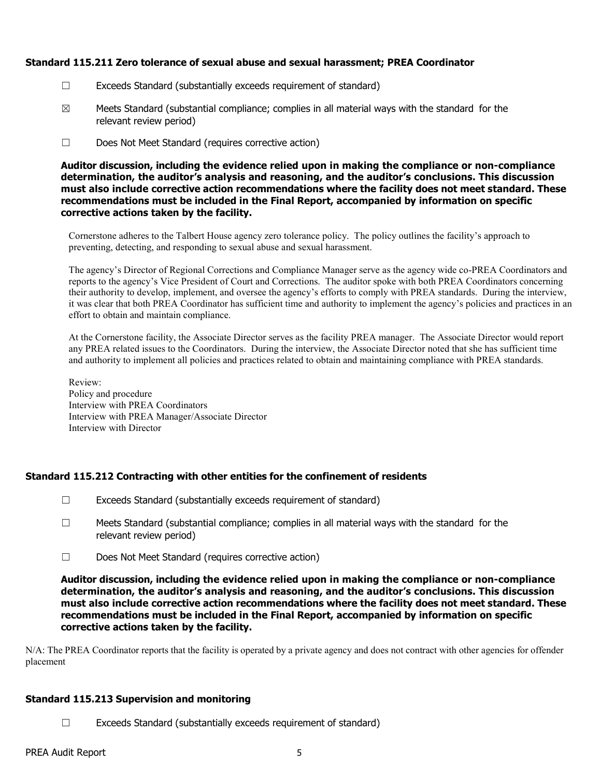### Standard 115.211 Zero tolerance of sexual abuse and sexual harassment; PREA Coordinator

- ☐ Exceeds Standard (substantially exceeds requirement of standard)
- $\boxtimes$  Meets Standard (substantial compliance; complies in all material ways with the standard for the relevant review period)
- ☐ Does Not Meet Standard (requires corrective action)

Auditor discussion, including the evidence relied upon in making the compliance or non-compliance determination, the auditor's analysis and reasoning, and the auditor's conclusions. This discussion must also include corrective action recommendations where the facility does not meet standard. These recommendations must be included in the Final Report, accompanied by information on specific corrective actions taken by the facility.

Cornerstone adheres to the Talbert House agency zero tolerance policy. The policy outlines the facility's approach to preventing, detecting, and responding to sexual abuse and sexual harassment.

The agency's Director of Regional Corrections and Compliance Manager serve as the agency wide co-PREA Coordinators and reports to the agency's Vice President of Court and Corrections. The auditor spoke with both PREA Coordinators concerning their authority to develop, implement, and oversee the agency's efforts to comply with PREA standards. During the interview, it was clear that both PREA Coordinator has sufficient time and authority to implement the agency's policies and practices in an effort to obtain and maintain compliance.

At the Cornerstone facility, the Associate Director serves as the facility PREA manager. The Associate Director would report any PREA related issues to the Coordinators. During the interview, the Associate Director noted that she has sufficient time and authority to implement all policies and practices related to obtain and maintaining compliance with PREA standards.

Review: Policy and procedure Interview with PREA Coordinators Interview with PREA Manager/Associate Director Interview with Director

### Standard 115.212 Contracting with other entities for the confinement of residents

- $\Box$  Exceeds Standard (substantially exceeds requirement of standard)
- $\Box$  Meets Standard (substantial compliance; complies in all material ways with the standard for the relevant review period)
- ☐ Does Not Meet Standard (requires corrective action)

Auditor discussion, including the evidence relied upon in making the compliance or non-compliance determination, the auditor's analysis and reasoning, and the auditor's conclusions. This discussion must also include corrective action recommendations where the facility does not meet standard. These recommendations must be included in the Final Report, accompanied by information on specific corrective actions taken by the facility.

N/A: The PREA Coordinator reports that the facility is operated by a private agency and does not contract with other agencies for offender placement

### Standard 115.213 Supervision and monitoring

☐ Exceeds Standard (substantially exceeds requirement of standard)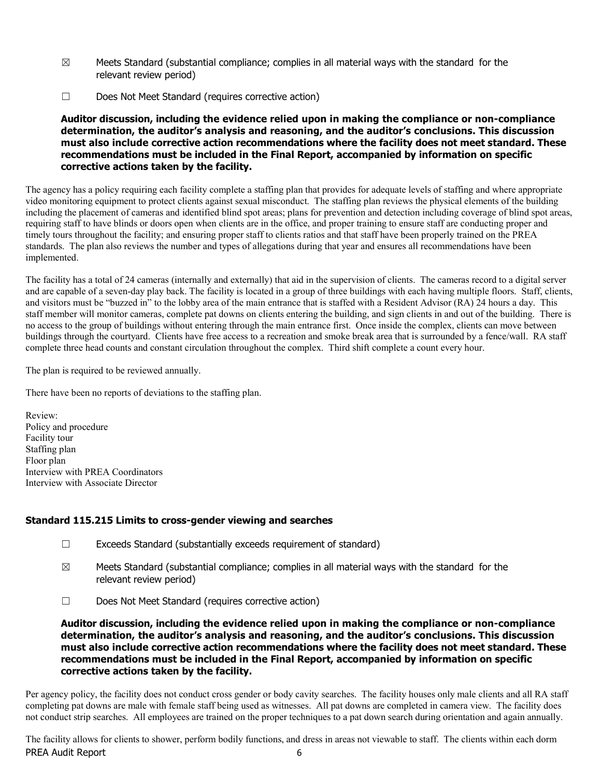- $\boxtimes$  Meets Standard (substantial compliance; complies in all material ways with the standard for the relevant review period)
- ☐ Does Not Meet Standard (requires corrective action)

The agency has a policy requiring each facility complete a staffing plan that provides for adequate levels of staffing and where appropriate video monitoring equipment to protect clients against sexual misconduct. The staffing plan reviews the physical elements of the building including the placement of cameras and identified blind spot areas; plans for prevention and detection including coverage of blind spot areas, requiring staff to have blinds or doors open when clients are in the office, and proper training to ensure staff are conducting proper and timely tours throughout the facility; and ensuring proper staff to clients ratios and that staff have been properly trained on the PREA standards. The plan also reviews the number and types of allegations during that year and ensures all recommendations have been implemented.

The facility has a total of 24 cameras (internally and externally) that aid in the supervision of clients. The cameras record to a digital server and are capable of a seven-day play back. The facility is located in a group of three buildings with each having multiple floors. Staff, clients, and visitors must be "buzzed in" to the lobby area of the main entrance that is staffed with a Resident Advisor (RA) 24 hours a day. This staff member will monitor cameras, complete pat downs on clients entering the building, and sign clients in and out of the building. There is no access to the group of buildings without entering through the main entrance first. Once inside the complex, clients can move between buildings through the courtyard. Clients have free access to a recreation and smoke break area that is surrounded by a fence/wall. RA staff complete three head counts and constant circulation throughout the complex. Third shift complete a count every hour.

The plan is required to be reviewed annually.

There have been no reports of deviations to the staffing plan.

Review: Policy and procedure Facility tour Staffing plan Floor plan Interview with PREA Coordinators Interview with Associate Director

### Standard 115.215 Limits to cross-gender viewing and searches

- ☐ Exceeds Standard (substantially exceeds requirement of standard)
- $\boxtimes$  Meets Standard (substantial compliance; complies in all material ways with the standard for the relevant review period)
- ☐ Does Not Meet Standard (requires corrective action)

Auditor discussion, including the evidence relied upon in making the compliance or non-compliance determination, the auditor's analysis and reasoning, and the auditor's conclusions. This discussion must also include corrective action recommendations where the facility does not meet standard. These recommendations must be included in the Final Report, accompanied by information on specific corrective actions taken by the facility.

Per agency policy, the facility does not conduct cross gender or body cavity searches. The facility houses only male clients and all RA staff completing pat downs are male with female staff being used as witnesses. All pat downs are completed in camera view. The facility does not conduct strip searches. All employees are trained on the proper techniques to a pat down search during orientation and again annually.

PREA Audit Report 6 The facility allows for clients to shower, perform bodily functions, and dress in areas not viewable to staff. The clients within each dorm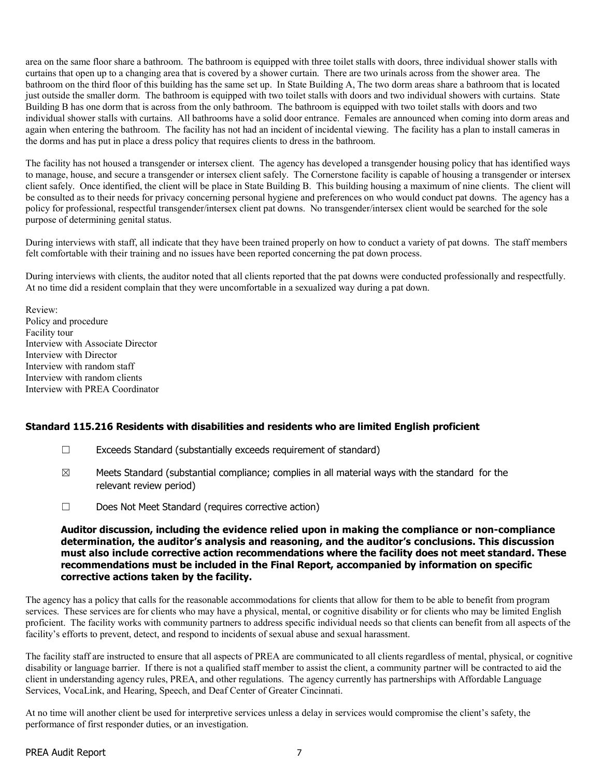area on the same floor share a bathroom. The bathroom is equipped with three toilet stalls with doors, three individual shower stalls with curtains that open up to a changing area that is covered by a shower curtain. There are two urinals across from the shower area. The bathroom on the third floor of this building has the same set up. In State Building A, The two dorm areas share a bathroom that is located just outside the smaller dorm. The bathroom is equipped with two toilet stalls with doors and two individual showers with curtains. State Building B has one dorm that is across from the only bathroom. The bathroom is equipped with two toilet stalls with doors and two individual shower stalls with curtains. All bathrooms have a solid door entrance. Females are announced when coming into dorm areas and again when entering the bathroom. The facility has not had an incident of incidental viewing. The facility has a plan to install cameras in the dorms and has put in place a dress policy that requires clients to dress in the bathroom.

The facility has not housed a transgender or intersex client. The agency has developed a transgender housing policy that has identified ways to manage, house, and secure a transgender or intersex client safely. The Cornerstone facility is capable of housing a transgender or intersex client safely. Once identified, the client will be place in State Building B. This building housing a maximum of nine clients. The client will be consulted as to their needs for privacy concerning personal hygiene and preferences on who would conduct pat downs. The agency has a policy for professional, respectful transgender/intersex client pat downs. No transgender/intersex client would be searched for the sole purpose of determining genital status.

During interviews with staff, all indicate that they have been trained properly on how to conduct a variety of pat downs. The staff members felt comfortable with their training and no issues have been reported concerning the pat down process.

During interviews with clients, the auditor noted that all clients reported that the pat downs were conducted professionally and respectfully. At no time did a resident complain that they were uncomfortable in a sexualized way during a pat down.

Review: Policy and procedure Facility tour Interview with Associate Director Interview with Director Interview with random staff Interview with random clients Interview with PREA Coordinator

### Standard 115.216 Residents with disabilities and residents who are limited English proficient

- ☐ Exceeds Standard (substantially exceeds requirement of standard)
- $\boxtimes$  Meets Standard (substantial compliance; complies in all material ways with the standard for the relevant review period)
- ☐ Does Not Meet Standard (requires corrective action)

### Auditor discussion, including the evidence relied upon in making the compliance or non-compliance determination, the auditor's analysis and reasoning, and the auditor's conclusions. This discussion must also include corrective action recommendations where the facility does not meet standard. These recommendations must be included in the Final Report, accompanied by information on specific corrective actions taken by the facility.

The agency has a policy that calls for the reasonable accommodations for clients that allow for them to be able to benefit from program services. These services are for clients who may have a physical, mental, or cognitive disability or for clients who may be limited English proficient. The facility works with community partners to address specific individual needs so that clients can benefit from all aspects of the facility's efforts to prevent, detect, and respond to incidents of sexual abuse and sexual harassment.

The facility staff are instructed to ensure that all aspects of PREA are communicated to all clients regardless of mental, physical, or cognitive disability or language barrier. If there is not a qualified staff member to assist the client, a community partner will be contracted to aid the client in understanding agency rules, PREA, and other regulations. The agency currently has partnerships with Affordable Language Services, VocaLink, and Hearing, Speech, and Deaf Center of Greater Cincinnati.

At no time will another client be used for interpretive services unless a delay in services would compromise the client's safety, the performance of first responder duties, or an investigation.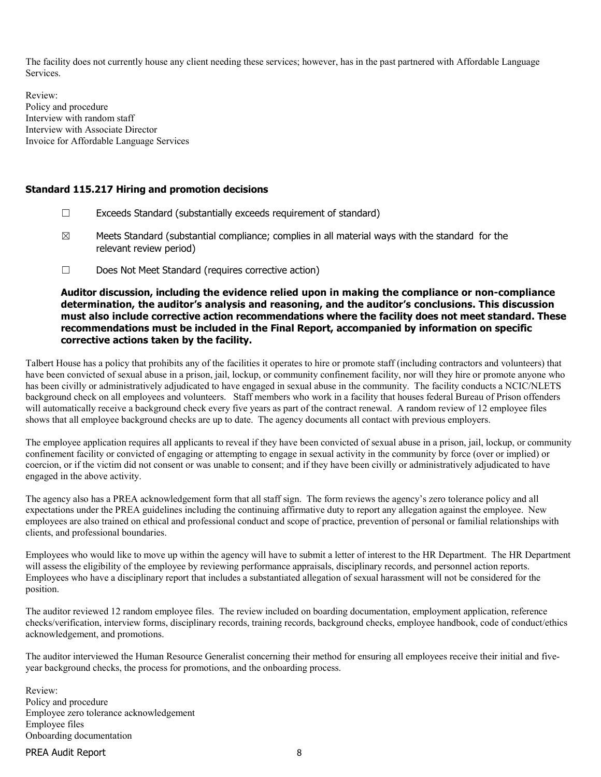The facility does not currently house any client needing these services; however, has in the past partnered with Affordable Language Services.

Review: Policy and procedure Interview with random staff Interview with Associate Director Invoice for Affordable Language Services

#### Standard 115.217 Hiring and promotion decisions

- $\Box$  Exceeds Standard (substantially exceeds requirement of standard)
- $\boxtimes$  Meets Standard (substantial compliance; complies in all material ways with the standard for the relevant review period)
- ☐ Does Not Meet Standard (requires corrective action)

Auditor discussion, including the evidence relied upon in making the compliance or non-compliance determination, the auditor's analysis and reasoning, and the auditor's conclusions. This discussion must also include corrective action recommendations where the facility does not meet standard. These recommendations must be included in the Final Report, accompanied by information on specific corrective actions taken by the facility.

Talbert House has a policy that prohibits any of the facilities it operates to hire or promote staff (including contractors and volunteers) that have been convicted of sexual abuse in a prison, jail, lockup, or community confinement facility, nor will they hire or promote anyone who has been civilly or administratively adjudicated to have engaged in sexual abuse in the community. The facility conducts a NCIC/NLETS background check on all employees and volunteers. Staff members who work in a facility that houses federal Bureau of Prison offenders will automatically receive a background check every five years as part of the contract renewal. A random review of 12 employee files shows that all employee background checks are up to date. The agency documents all contact with previous employers.

The employee application requires all applicants to reveal if they have been convicted of sexual abuse in a prison, jail, lockup, or community confinement facility or convicted of engaging or attempting to engage in sexual activity in the community by force (over or implied) or coercion, or if the victim did not consent or was unable to consent; and if they have been civilly or administratively adjudicated to have engaged in the above activity.

The agency also has a PREA acknowledgement form that all staff sign. The form reviews the agency's zero tolerance policy and all expectations under the PREA guidelines including the continuing affirmative duty to report any allegation against the employee. New employees are also trained on ethical and professional conduct and scope of practice, prevention of personal or familial relationships with clients, and professional boundaries.

Employees who would like to move up within the agency will have to submit a letter of interest to the HR Department. The HR Department will assess the eligibility of the employee by reviewing performance appraisals, disciplinary records, and personnel action reports. Employees who have a disciplinary report that includes a substantiated allegation of sexual harassment will not be considered for the position.

The auditor reviewed 12 random employee files. The review included on boarding documentation, employment application, reference checks/verification, interview forms, disciplinary records, training records, background checks, employee handbook, code of conduct/ethics acknowledgement, and promotions.

The auditor interviewed the Human Resource Generalist concerning their method for ensuring all employees receive their initial and fiveyear background checks, the process for promotions, and the onboarding process.

Review: Policy and procedure Employee zero tolerance acknowledgement Employee files Onboarding documentation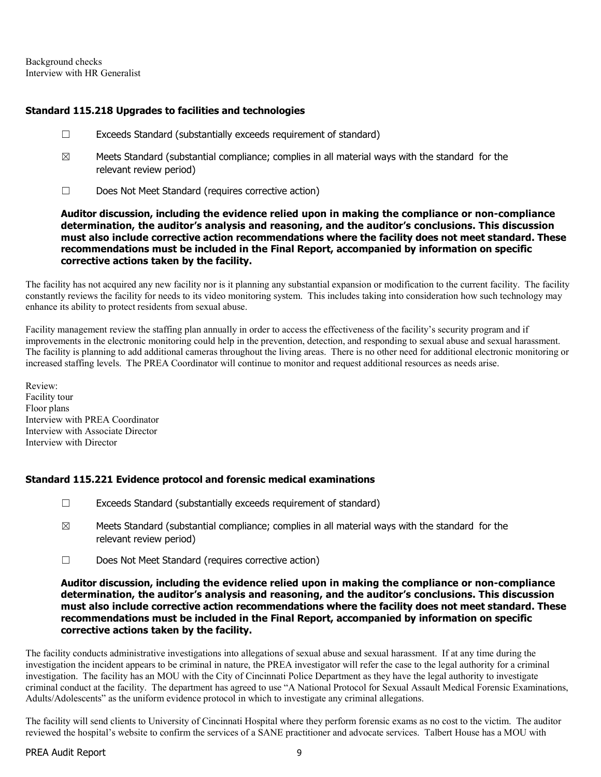Background checks Interview with HR Generalist

### Standard 115.218 Upgrades to facilities and technologies

- ☐ Exceeds Standard (substantially exceeds requirement of standard)
- $\boxtimes$  Meets Standard (substantial compliance; complies in all material ways with the standard for the relevant review period)
- ☐ Does Not Meet Standard (requires corrective action)

Auditor discussion, including the evidence relied upon in making the compliance or non-compliance determination, the auditor's analysis and reasoning, and the auditor's conclusions. This discussion must also include corrective action recommendations where the facility does not meet standard. These recommendations must be included in the Final Report, accompanied by information on specific corrective actions taken by the facility.

The facility has not acquired any new facility nor is it planning any substantial expansion or modification to the current facility. The facility constantly reviews the facility for needs to its video monitoring system. This includes taking into consideration how such technology may enhance its ability to protect residents from sexual abuse.

Facility management review the staffing plan annually in order to access the effectiveness of the facility's security program and if improvements in the electronic monitoring could help in the prevention, detection, and responding to sexual abuse and sexual harassment. The facility is planning to add additional cameras throughout the living areas. There is no other need for additional electronic monitoring or increased staffing levels. The PREA Coordinator will continue to monitor and request additional resources as needs arise.

Review: Facility tour Floor plans Interview with PREA Coordinator Interview with Associate Director Interview with Director

# Standard 115.221 Evidence protocol and forensic medical examinations

- $\Box$  Exceeds Standard (substantially exceeds requirement of standard)
- $\boxtimes$  Meets Standard (substantial compliance; complies in all material ways with the standard for the relevant review period)
- ☐ Does Not Meet Standard (requires corrective action)

#### Auditor discussion, including the evidence relied upon in making the compliance or non-compliance determination, the auditor's analysis and reasoning, and the auditor's conclusions. This discussion must also include corrective action recommendations where the facility does not meet standard. These recommendations must be included in the Final Report, accompanied by information on specific corrective actions taken by the facility.

The facility conducts administrative investigations into allegations of sexual abuse and sexual harassment. If at any time during the investigation the incident appears to be criminal in nature, the PREA investigator will refer the case to the legal authority for a criminal investigation. The facility has an MOU with the City of Cincinnati Police Department as they have the legal authority to investigate criminal conduct at the facility. The department has agreed to use "A National Protocol for Sexual Assault Medical Forensic Examinations, Adults/Adolescents" as the uniform evidence protocol in which to investigate any criminal allegations.

The facility will send clients to University of Cincinnati Hospital where they perform forensic exams as no cost to the victim. The auditor reviewed the hospital's website to confirm the services of a SANE practitioner and advocate services. Talbert House has a MOU with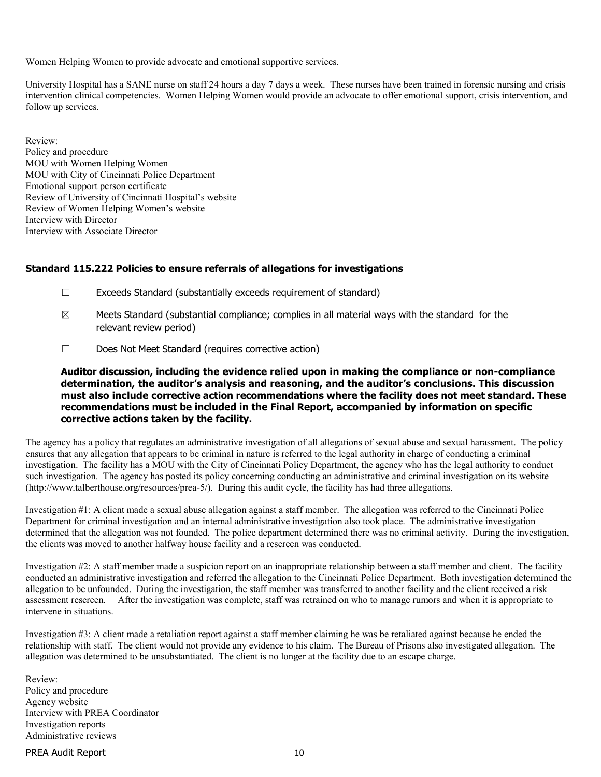Women Helping Women to provide advocate and emotional supportive services.

University Hospital has a SANE nurse on staff 24 hours a day 7 days a week. These nurses have been trained in forensic nursing and crisis intervention clinical competencies. Women Helping Women would provide an advocate to offer emotional support, crisis intervention, and follow up services.

Review: Policy and procedure MOU with Women Helping Women MOU with City of Cincinnati Police Department Emotional support person certificate Review of University of Cincinnati Hospital's website Review of Women Helping Women's website Interview with Director Interview with Associate Director

#### Standard 115.222 Policies to ensure referrals of allegations for investigations

- ☐ Exceeds Standard (substantially exceeds requirement of standard)
- $\boxtimes$  Meets Standard (substantial compliance; complies in all material ways with the standard for the relevant review period)
- ☐ Does Not Meet Standard (requires corrective action)

Auditor discussion, including the evidence relied upon in making the compliance or non-compliance determination, the auditor's analysis and reasoning, and the auditor's conclusions. This discussion must also include corrective action recommendations where the facility does not meet standard. These recommendations must be included in the Final Report, accompanied by information on specific corrective actions taken by the facility.

The agency has a policy that regulates an administrative investigation of all allegations of sexual abuse and sexual harassment. The policy ensures that any allegation that appears to be criminal in nature is referred to the legal authority in charge of conducting a criminal investigation. The facility has a MOU with the City of Cincinnati Policy Department, the agency who has the legal authority to conduct such investigation. The agency has posted its policy concerning conducting an administrative and criminal investigation on its website (http://www.talberthouse.org/resources/prea-5/). During this audit cycle, the facility has had three allegations.

Investigation #1: A client made a sexual abuse allegation against a staff member. The allegation was referred to the Cincinnati Police Department for criminal investigation and an internal administrative investigation also took place. The administrative investigation determined that the allegation was not founded. The police department determined there was no criminal activity. During the investigation, the clients was moved to another halfway house facility and a rescreen was conducted.

Investigation #2: A staff member made a suspicion report on an inappropriate relationship between a staff member and client. The facility conducted an administrative investigation and referred the allegation to the Cincinnati Police Department. Both investigation determined the allegation to be unfounded. During the investigation, the staff member was transferred to another facility and the client received a risk assessment rescreen. After the investigation was complete, staff was retrained on who to manage rumors and when it is appropriate to intervene in situations.

Investigation #3: A client made a retaliation report against a staff member claiming he was be retaliated against because he ended the relationship with staff. The client would not provide any evidence to his claim. The Bureau of Prisons also investigated allegation. The allegation was determined to be unsubstantiated. The client is no longer at the facility due to an escape charge.

Review: Policy and procedure Agency website Interview with PREA Coordinator Investigation reports Administrative reviews

#### PREA Audit Report 10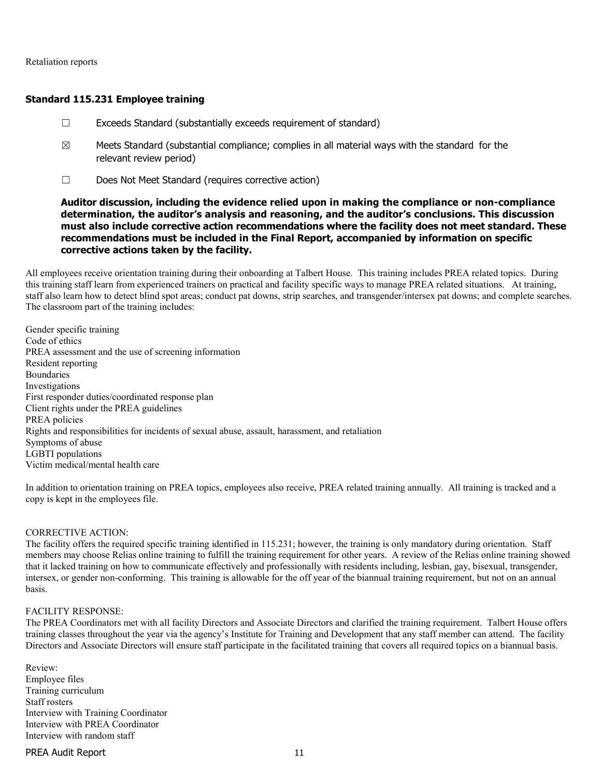Retaliation reports

#### Standard 115.231 Employee training

- ☐ Exceeds Standard (substantially exceeds requirement of standard)
- $\boxtimes$  Meets Standard (substantial compliance; complies in all material ways with the standard for the relevant review period)
- ☐ Does Not Meet Standard (requires corrective action)

#### Auditor discussion, including the evidence relied upon in making the compliance or non-compliance determination, the auditor's analysis and reasoning, and the auditor's conclusions. This discussion must also include corrective action recommendations where the facility does not meet standard. These recommendations must be included in the Final Report, accompanied by information on specific corrective actions taken by the facility.

All employees receive orientation training during their onboarding at Talbert House. This training includes PREA related topics. During this training staff learn from experienced trainers on practical and facility specific ways to manage PREA related situations. At training, staff also learn how to detect blind spot areas; conduct pat downs, strip searches, and transgender/intersex pat downs; and complete searches. The classroom part of the training includes:

Gender specific training Code of ethics PREA assessment and the use of screening information Resident reporting Boundaries Investigations First responder duties/coordinated response plan Client rights under the PREA guidelines PREA policies Rights and responsibilities for incidents of sexual abuse, assault, harassment, and retaliation Symptoms of abuse LGBTI populations Victim medical/mental health care

In addition to orientation training on PREA topics, employees also receive, PREA related training annually. All training is tracked and a copy is kept in the employees file.

#### CORRECTIVE ACTION:

The facility offers the required specific training identified in 115.231; however, the training is only mandatory during orientation. Staff members may choose Relias online training to fulfill the training requirement for other years. A review of the Relias online training showed that it lacked training on how to communicate effectively and professionally with residents including, lesbian, gay, bisexual, transgender, intersex, or gender non-conforming. This training is allowable for the off year of the biannual training requirement, but not on an annual basis.

#### FACILITY RESPONSE:

The PREA Coordinators met with all facility Directors and Associate Directors and clarified the training requirement. Talbert House offers training classes throughout the year via the agency's Institute for Training and Development that any staff member can attend. The facility Directors and Associate Directors will ensure staff participate in the facilitated training that covers all required topics on a biannual basis.

Review: Employee files Training curriculum Staff rosters Interview with Training Coordinator Interview with PREA Coordinator Interview with random staff

#### PREA Audit Report 11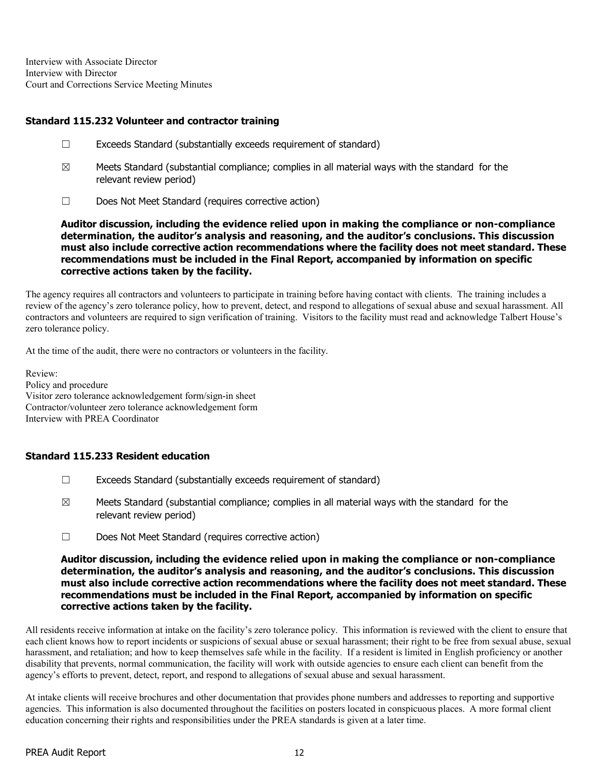Interview with Associate Director Interview with Director Court and Corrections Service Meeting Minutes

### Standard 115.232 Volunteer and contractor training

- ☐ Exceeds Standard (substantially exceeds requirement of standard)
- $\boxtimes$  Meets Standard (substantial compliance; complies in all material ways with the standard for the relevant review period)
- ☐ Does Not Meet Standard (requires corrective action)

Auditor discussion, including the evidence relied upon in making the compliance or non-compliance determination, the auditor's analysis and reasoning, and the auditor's conclusions. This discussion must also include corrective action recommendations where the facility does not meet standard. These recommendations must be included in the Final Report, accompanied by information on specific corrective actions taken by the facility.

The agency requires all contractors and volunteers to participate in training before having contact with clients. The training includes a review of the agency's zero tolerance policy, how to prevent, detect, and respond to allegations of sexual abuse and sexual harassment. All contractors and volunteers are required to sign verification of training. Visitors to the facility must read and acknowledge Talbert House's zero tolerance policy.

At the time of the audit, there were no contractors or volunteers in the facility.

Review: Policy and procedure Visitor zero tolerance acknowledgement form/sign-in sheet Contractor/volunteer zero tolerance acknowledgement form Interview with PREA Coordinator

### Standard 115.233 Resident education

- ☐ Exceeds Standard (substantially exceeds requirement of standard)
- $\boxtimes$  Meets Standard (substantial compliance; complies in all material ways with the standard for the relevant review period)
- ☐ Does Not Meet Standard (requires corrective action)

#### Auditor discussion, including the evidence relied upon in making the compliance or non-compliance determination, the auditor's analysis and reasoning, and the auditor's conclusions. This discussion must also include corrective action recommendations where the facility does not meet standard. These recommendations must be included in the Final Report, accompanied by information on specific corrective actions taken by the facility.

All residents receive information at intake on the facility's zero tolerance policy. This information is reviewed with the client to ensure that each client knows how to report incidents or suspicions of sexual abuse or sexual harassment; their right to be free from sexual abuse, sexual harassment, and retaliation; and how to keep themselves safe while in the facility. If a resident is limited in English proficiency or another disability that prevents, normal communication, the facility will work with outside agencies to ensure each client can benefit from the agency's efforts to prevent, detect, report, and respond to allegations of sexual abuse and sexual harassment.

At intake clients will receive brochures and other documentation that provides phone numbers and addresses to reporting and supportive agencies. This information is also documented throughout the facilities on posters located in conspicuous places. A more formal client education concerning their rights and responsibilities under the PREA standards is given at a later time.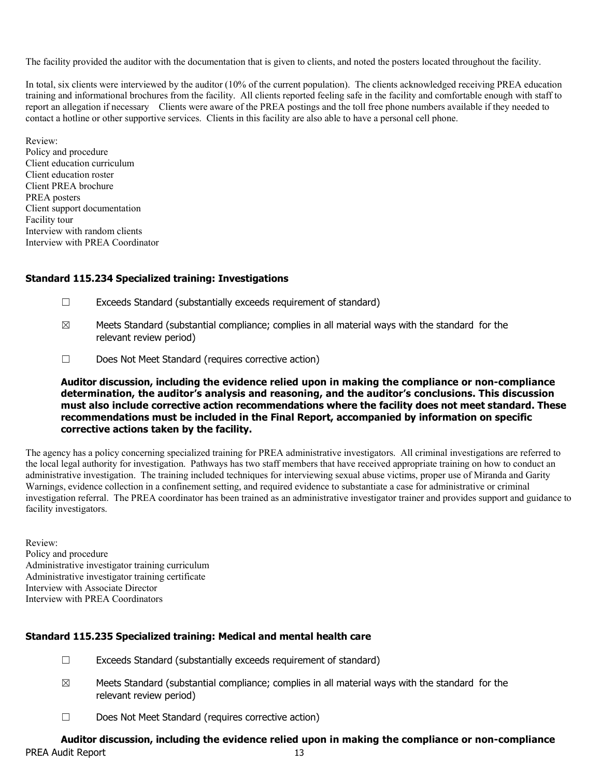The facility provided the auditor with the documentation that is given to clients, and noted the posters located throughout the facility.

In total, six clients were interviewed by the auditor (10% of the current population). The clients acknowledged receiving PREA education training and informational brochures from the facility. All clients reported feeling safe in the facility and comfortable enough with staff to report an allegation if necessary Clients were aware of the PREA postings and the toll free phone numbers available if they needed to contact a hotline or other supportive services. Clients in this facility are also able to have a personal cell phone.

Review: Policy and procedure Client education curriculum Client education roster Client PREA brochure PREA posters Client support documentation Facility tour Interview with random clients Interview with PREA Coordinator

#### Standard 115.234 Specialized training: Investigations

- ☐ Exceeds Standard (substantially exceeds requirement of standard)
- $\boxtimes$  Meets Standard (substantial compliance; complies in all material ways with the standard for the relevant review period)
- ☐ Does Not Meet Standard (requires corrective action)

Auditor discussion, including the evidence relied upon in making the compliance or non-compliance determination, the auditor's analysis and reasoning, and the auditor's conclusions. This discussion must also include corrective action recommendations where the facility does not meet standard. These recommendations must be included in the Final Report, accompanied by information on specific corrective actions taken by the facility.

The agency has a policy concerning specialized training for PREA administrative investigators. All criminal investigations are referred to the local legal authority for investigation. Pathways has two staff members that have received appropriate training on how to conduct an administrative investigation. The training included techniques for interviewing sexual abuse victims, proper use of Miranda and Garity Warnings, evidence collection in a confinement setting, and required evidence to substantiate a case for administrative or criminal investigation referral. The PREA coordinator has been trained as an administrative investigator trainer and provides support and guidance to facility investigators.

Review: Policy and procedure Administrative investigator training curriculum Administrative investigator training certificate Interview with Associate Director Interview with PREA Coordinators

### Standard 115.235 Specialized training: Medical and mental health care

- $\Box$  Exceeds Standard (substantially exceeds requirement of standard)
- $\boxtimes$  Meets Standard (substantial compliance; complies in all material ways with the standard for the relevant review period)
- ☐ Does Not Meet Standard (requires corrective action)

#### PREA Audit Report 13 Auditor discussion, including the evidence relied upon in making the compliance or non-compliance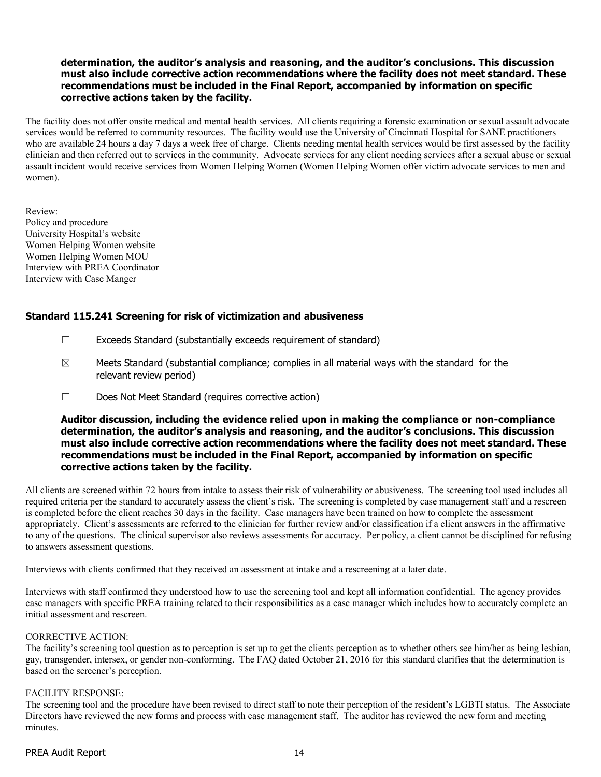### determination, the auditor's analysis and reasoning, and the auditor's conclusions. This discussion must also include corrective action recommendations where the facility does not meet standard. These recommendations must be included in the Final Report, accompanied by information on specific corrective actions taken by the facility.

The facility does not offer onsite medical and mental health services. All clients requiring a forensic examination or sexual assault advocate services would be referred to community resources. The facility would use the University of Cincinnati Hospital for SANE practitioners who are available 24 hours a day 7 days a week free of charge. Clients needing mental health services would be first assessed by the facility clinician and then referred out to services in the community. Advocate services for any client needing services after a sexual abuse or sexual assault incident would receive services from Women Helping Women (Women Helping Women offer victim advocate services to men and women).

Review: Policy and procedure University Hospital's website Women Helping Women website Women Helping Women MOU Interview with PREA Coordinator Interview with Case Manger

### Standard 115.241 Screening for risk of victimization and abusiveness

- ☐ Exceeds Standard (substantially exceeds requirement of standard)
- $\boxtimes$  Meets Standard (substantial compliance; complies in all material ways with the standard for the relevant review period)
- ☐ Does Not Meet Standard (requires corrective action)

#### Auditor discussion, including the evidence relied upon in making the compliance or non-compliance determination, the auditor's analysis and reasoning, and the auditor's conclusions. This discussion must also include corrective action recommendations where the facility does not meet standard. These recommendations must be included in the Final Report, accompanied by information on specific corrective actions taken by the facility.

All clients are screened within 72 hours from intake to assess their risk of vulnerability or abusiveness. The screening tool used includes all required criteria per the standard to accurately assess the client's risk. The screening is completed by case management staff and a rescreen is completed before the client reaches 30 days in the facility. Case managers have been trained on how to complete the assessment appropriately. Client's assessments are referred to the clinician for further review and/or classification if a client answers in the affirmative to any of the questions. The clinical supervisor also reviews assessments for accuracy. Per policy, a client cannot be disciplined for refusing to answers assessment questions.

Interviews with clients confirmed that they received an assessment at intake and a rescreening at a later date.

Interviews with staff confirmed they understood how to use the screening tool and kept all information confidential. The agency provides case managers with specific PREA training related to their responsibilities as a case manager which includes how to accurately complete an initial assessment and rescreen.

#### CORRECTIVE ACTION:

The facility's screening tool question as to perception is set up to get the clients perception as to whether others see him/her as being lesbian, gay, transgender, intersex, or gender non-conforming. The FAQ dated October 21, 2016 for this standard clarifies that the determination is based on the screener's perception.

#### FACILITY RESPONSE:

The screening tool and the procedure have been revised to direct staff to note their perception of the resident's LGBTI status. The Associate Directors have reviewed the new forms and process with case management staff. The auditor has reviewed the new form and meeting minutes.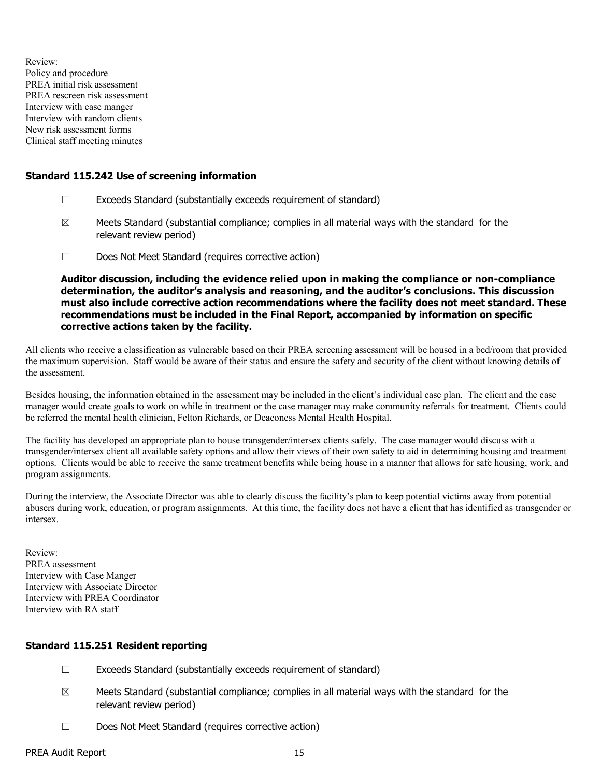Review: Policy and procedure PREA initial risk assessment PREA rescreen risk assessment Interview with case manger Interview with random clients New risk assessment forms Clinical staff meeting minutes

### Standard 115.242 Use of screening information

- ☐ Exceeds Standard (substantially exceeds requirement of standard)
- $\boxtimes$  Meets Standard (substantial compliance; complies in all material ways with the standard for the relevant review period)
- ☐ Does Not Meet Standard (requires corrective action)

Auditor discussion, including the evidence relied upon in making the compliance or non-compliance determination, the auditor's analysis and reasoning, and the auditor's conclusions. This discussion must also include corrective action recommendations where the facility does not meet standard. These recommendations must be included in the Final Report, accompanied by information on specific corrective actions taken by the facility.

All clients who receive a classification as vulnerable based on their PREA screening assessment will be housed in a bed/room that provided the maximum supervision. Staff would be aware of their status and ensure the safety and security of the client without knowing details of the assessment.

Besides housing, the information obtained in the assessment may be included in the client's individual case plan. The client and the case manager would create goals to work on while in treatment or the case manager may make community referrals for treatment. Clients could be referred the mental health clinician, Felton Richards, or Deaconess Mental Health Hospital.

The facility has developed an appropriate plan to house transgender/intersex clients safely. The case manager would discuss with a transgender/intersex client all available safety options and allow their views of their own safety to aid in determining housing and treatment options. Clients would be able to receive the same treatment benefits while being house in a manner that allows for safe housing, work, and program assignments.

During the interview, the Associate Director was able to clearly discuss the facility's plan to keep potential victims away from potential abusers during work, education, or program assignments. At this time, the facility does not have a client that has identified as transgender or intersex.

Review: PREA assessment Interview with Case Manger Interview with Associate Director Interview with PREA Coordinator Interview with RA staff

### Standard 115.251 Resident reporting

- ☐ Exceeds Standard (substantially exceeds requirement of standard)
- $\boxtimes$  Meets Standard (substantial compliance; complies in all material ways with the standard for the relevant review period)
- ☐ Does Not Meet Standard (requires corrective action)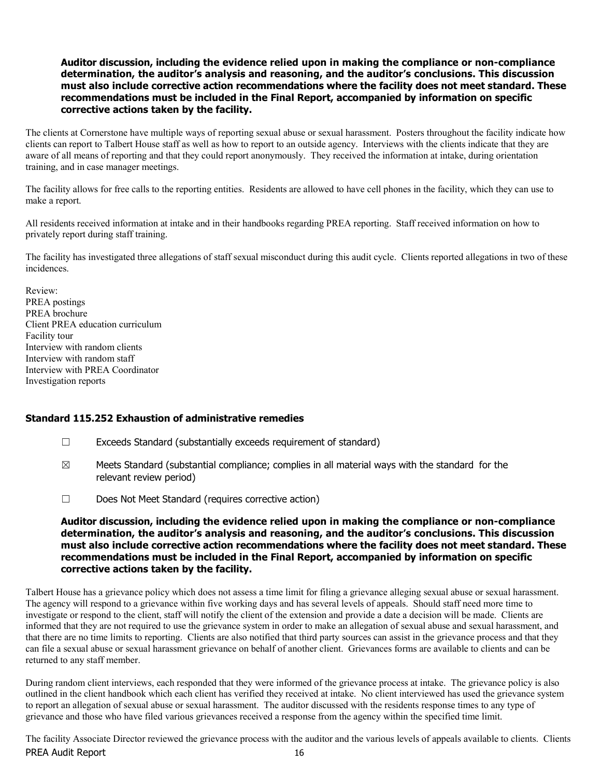The clients at Cornerstone have multiple ways of reporting sexual abuse or sexual harassment. Posters throughout the facility indicate how clients can report to Talbert House staff as well as how to report to an outside agency. Interviews with the clients indicate that they are aware of all means of reporting and that they could report anonymously. They received the information at intake, during orientation training, and in case manager meetings.

The facility allows for free calls to the reporting entities. Residents are allowed to have cell phones in the facility, which they can use to make a report.

All residents received information at intake and in their handbooks regarding PREA reporting. Staff received information on how to privately report during staff training.

The facility has investigated three allegations of staff sexual misconduct during this audit cycle. Clients reported allegations in two of these incidences.

Review: PREA postings PREA brochure Client PREA education curriculum Facility tour Interview with random clients Interview with random staff Interview with PREA Coordinator Investigation reports

### Standard 115.252 Exhaustion of administrative remedies

- ☐ Exceeds Standard (substantially exceeds requirement of standard)
- $\boxtimes$  Meets Standard (substantial compliance; complies in all material ways with the standard for the relevant review period)
- ☐ Does Not Meet Standard (requires corrective action)

Auditor discussion, including the evidence relied upon in making the compliance or non-compliance determination, the auditor's analysis and reasoning, and the auditor's conclusions. This discussion must also include corrective action recommendations where the facility does not meet standard. These recommendations must be included in the Final Report, accompanied by information on specific corrective actions taken by the facility.

Talbert House has a grievance policy which does not assess a time limit for filing a grievance alleging sexual abuse or sexual harassment. The agency will respond to a grievance within five working days and has several levels of appeals. Should staff need more time to investigate or respond to the client, staff will notify the client of the extension and provide a date a decision will be made. Clients are informed that they are not required to use the grievance system in order to make an allegation of sexual abuse and sexual harassment, and that there are no time limits to reporting. Clients are also notified that third party sources can assist in the grievance process and that they can file a sexual abuse or sexual harassment grievance on behalf of another client. Grievances forms are available to clients and can be returned to any staff member.

During random client interviews, each responded that they were informed of the grievance process at intake. The grievance policy is also outlined in the client handbook which each client has verified they received at intake. No client interviewed has used the grievance system to report an allegation of sexual abuse or sexual harassment. The auditor discussed with the residents response times to any type of grievance and those who have filed various grievances received a response from the agency within the specified time limit.

PREA Audit Report 16 The facility Associate Director reviewed the grievance process with the auditor and the various levels of appeals available to clients. Clients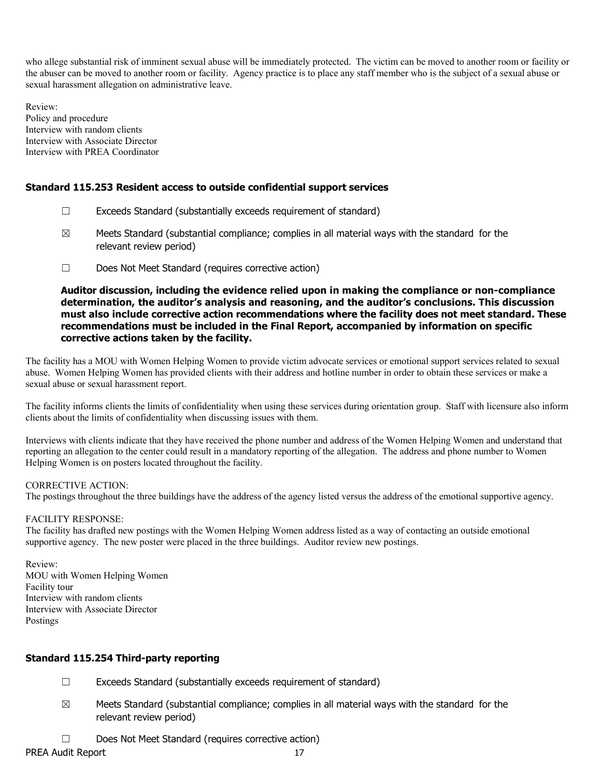who allege substantial risk of imminent sexual abuse will be immediately protected. The victim can be moved to another room or facility or the abuser can be moved to another room or facility. Agency practice is to place any staff member who is the subject of a sexual abuse or sexual harassment allegation on administrative leave.

Review: Policy and procedure Interview with random clients Interview with Associate Director Interview with PREA Coordinator

### Standard 115.253 Resident access to outside confidential support services

- ☐ Exceeds Standard (substantially exceeds requirement of standard)
- $\boxtimes$  Meets Standard (substantial compliance; complies in all material ways with the standard for the relevant review period)
- ☐ Does Not Meet Standard (requires corrective action)

#### Auditor discussion, including the evidence relied upon in making the compliance or non-compliance determination, the auditor's analysis and reasoning, and the auditor's conclusions. This discussion must also include corrective action recommendations where the facility does not meet standard. These recommendations must be included in the Final Report, accompanied by information on specific corrective actions taken by the facility.

The facility has a MOU with Women Helping Women to provide victim advocate services or emotional support services related to sexual abuse. Women Helping Women has provided clients with their address and hotline number in order to obtain these services or make a sexual abuse or sexual harassment report.

The facility informs clients the limits of confidentiality when using these services during orientation group. Staff with licensure also inform clients about the limits of confidentiality when discussing issues with them.

Interviews with clients indicate that they have received the phone number and address of the Women Helping Women and understand that reporting an allegation to the center could result in a mandatory reporting of the allegation. The address and phone number to Women Helping Women is on posters located throughout the facility.

#### CORRECTIVE ACTION:

The postings throughout the three buildings have the address of the agency listed versus the address of the emotional supportive agency.

#### FACILITY RESPONSE:

The facility has drafted new postings with the Women Helping Women address listed as a way of contacting an outside emotional supportive agency. The new poster were placed in the three buildings. Auditor review new postings.

Review: MOU with Women Helping Women Facility tour Interview with random clients Interview with Associate Director Postings

### Standard 115.254 Third-party reporting

- ☐ Exceeds Standard (substantially exceeds requirement of standard)
- $\boxtimes$  Meets Standard (substantial compliance; complies in all material ways with the standard for the relevant review period)
- ☐ Does Not Meet Standard (requires corrective action)

PREA Audit Report 17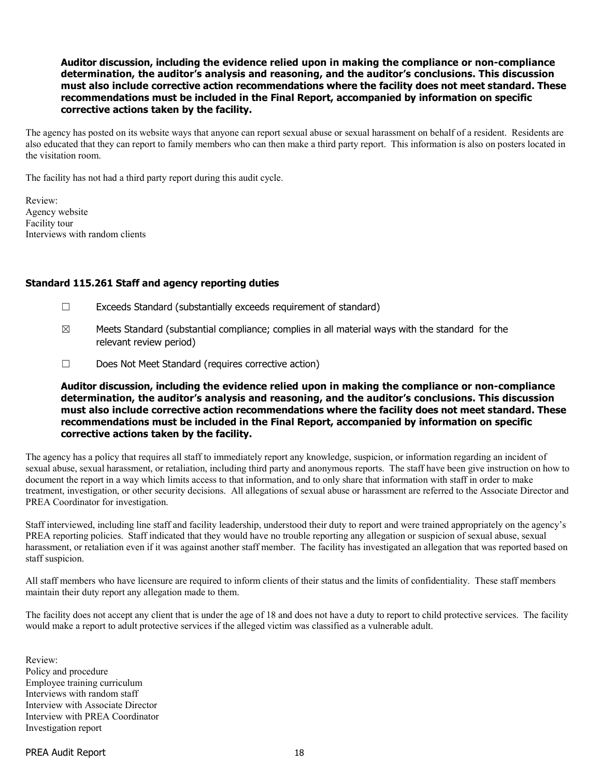The agency has posted on its website ways that anyone can report sexual abuse or sexual harassment on behalf of a resident. Residents are also educated that they can report to family members who can then make a third party report. This information is also on posters located in the visitation room.

The facility has not had a third party report during this audit cycle.

Review: Agency website Facility tour Interviews with random clients

#### Standard 115.261 Staff and agency reporting duties

- ☐ Exceeds Standard (substantially exceeds requirement of standard)
- $\boxtimes$  Meets Standard (substantial compliance; complies in all material ways with the standard for the relevant review period)
- ☐ Does Not Meet Standard (requires corrective action)

Auditor discussion, including the evidence relied upon in making the compliance or non-compliance determination, the auditor's analysis and reasoning, and the auditor's conclusions. This discussion must also include corrective action recommendations where the facility does not meet standard. These recommendations must be included in the Final Report, accompanied by information on specific corrective actions taken by the facility.

The agency has a policy that requires all staff to immediately report any knowledge, suspicion, or information regarding an incident of sexual abuse, sexual harassment, or retaliation, including third party and anonymous reports. The staff have been give instruction on how to document the report in a way which limits access to that information, and to only share that information with staff in order to make treatment, investigation, or other security decisions. All allegations of sexual abuse or harassment are referred to the Associate Director and PREA Coordinator for investigation.

Staff interviewed, including line staff and facility leadership, understood their duty to report and were trained appropriately on the agency's PREA reporting policies. Staff indicated that they would have no trouble reporting any allegation or suspicion of sexual abuse, sexual harassment, or retaliation even if it was against another staff member. The facility has investigated an allegation that was reported based on staff suspicion.

All staff members who have licensure are required to inform clients of their status and the limits of confidentiality. These staff members maintain their duty report any allegation made to them.

The facility does not accept any client that is under the age of 18 and does not have a duty to report to child protective services. The facility would make a report to adult protective services if the alleged victim was classified as a vulnerable adult.

Review: Policy and procedure Employee training curriculum Interviews with random staff Interview with Associate Director Interview with PREA Coordinator Investigation report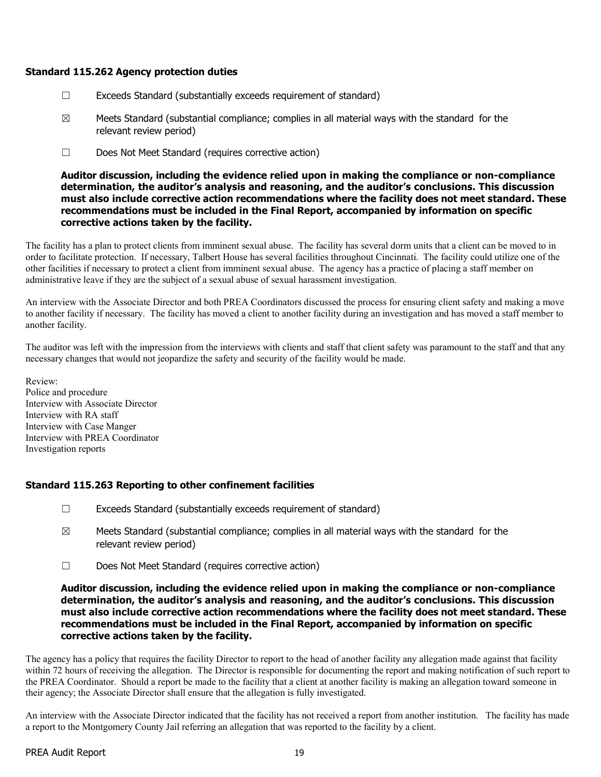#### Standard 115.262 Agency protection duties

- ☐ Exceeds Standard (substantially exceeds requirement of standard)
- $\boxtimes$  Meets Standard (substantial compliance; complies in all material ways with the standard for the relevant review period)
- ☐ Does Not Meet Standard (requires corrective action)

Auditor discussion, including the evidence relied upon in making the compliance or non-compliance determination, the auditor's analysis and reasoning, and the auditor's conclusions. This discussion must also include corrective action recommendations where the facility does not meet standard. These recommendations must be included in the Final Report, accompanied by information on specific corrective actions taken by the facility.

The facility has a plan to protect clients from imminent sexual abuse. The facility has several dorm units that a client can be moved to in order to facilitate protection. If necessary, Talbert House has several facilities throughout Cincinnati. The facility could utilize one of the other facilities if necessary to protect a client from imminent sexual abuse. The agency has a practice of placing a staff member on administrative leave if they are the subject of a sexual abuse of sexual harassment investigation.

An interview with the Associate Director and both PREA Coordinators discussed the process for ensuring client safety and making a move to another facility if necessary. The facility has moved a client to another facility during an investigation and has moved a staff member to another facility.

The auditor was left with the impression from the interviews with clients and staff that client safety was paramount to the staff and that any necessary changes that would not jeopardize the safety and security of the facility would be made.

Review: Police and procedure Interview with Associate Director Interview with RA staff Interview with Case Manger Interview with PREA Coordinator Investigation reports

### Standard 115.263 Reporting to other confinement facilities

- ☐ Exceeds Standard (substantially exceeds requirement of standard)
- $\boxtimes$  Meets Standard (substantial compliance; complies in all material ways with the standard for the relevant review period)
- ☐ Does Not Meet Standard (requires corrective action)

#### Auditor discussion, including the evidence relied upon in making the compliance or non-compliance determination, the auditor's analysis and reasoning, and the auditor's conclusions. This discussion must also include corrective action recommendations where the facility does not meet standard. These recommendations must be included in the Final Report, accompanied by information on specific corrective actions taken by the facility.

The agency has a policy that requires the facility Director to report to the head of another facility any allegation made against that facility within 72 hours of receiving the allegation. The Director is responsible for documenting the report and making notification of such report to the PREA Coordinator. Should a report be made to the facility that a client at another facility is making an allegation toward someone in their agency; the Associate Director shall ensure that the allegation is fully investigated.

An interview with the Associate Director indicated that the facility has not received a report from another institution. The facility has made a report to the Montgomery County Jail referring an allegation that was reported to the facility by a client.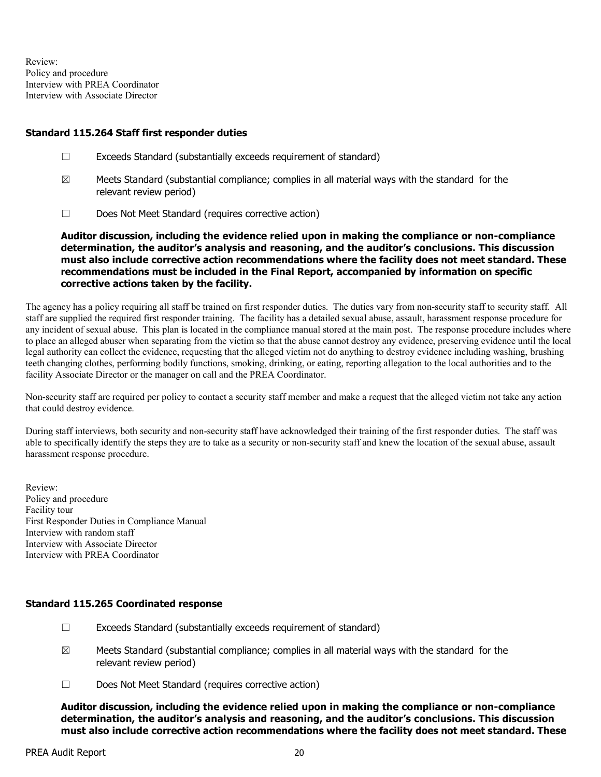Review: Policy and procedure Interview with PREA Coordinator Interview with Associate Director

#### Standard 115.264 Staff first responder duties

- ☐ Exceeds Standard (substantially exceeds requirement of standard)
- $\boxtimes$  Meets Standard (substantial compliance; complies in all material ways with the standard for the relevant review period)
- ☐ Does Not Meet Standard (requires corrective action)

Auditor discussion, including the evidence relied upon in making the compliance or non-compliance determination, the auditor's analysis and reasoning, and the auditor's conclusions. This discussion must also include corrective action recommendations where the facility does not meet standard. These recommendations must be included in the Final Report, accompanied by information on specific corrective actions taken by the facility.

The agency has a policy requiring all staff be trained on first responder duties. The duties vary from non-security staff to security staff. All staff are supplied the required first responder training. The facility has a detailed sexual abuse, assault, harassment response procedure for any incident of sexual abuse. This plan is located in the compliance manual stored at the main post. The response procedure includes where to place an alleged abuser when separating from the victim so that the abuse cannot destroy any evidence, preserving evidence until the local legal authority can collect the evidence, requesting that the alleged victim not do anything to destroy evidence including washing, brushing teeth changing clothes, performing bodily functions, smoking, drinking, or eating, reporting allegation to the local authorities and to the facility Associate Director or the manager on call and the PREA Coordinator.

Non-security staff are required per policy to contact a security staff member and make a request that the alleged victim not take any action that could destroy evidence.

During staff interviews, both security and non-security staff have acknowledged their training of the first responder duties. The staff was able to specifically identify the steps they are to take as a security or non-security staff and knew the location of the sexual abuse, assault harassment response procedure.

Review: Policy and procedure Facility tour First Responder Duties in Compliance Manual Interview with random staff Interview with Associate Director Interview with PREA Coordinator

### Standard 115.265 Coordinated response

- $\Box$  Exceeds Standard (substantially exceeds requirement of standard)
- $\boxtimes$  Meets Standard (substantial compliance; complies in all material ways with the standard for the relevant review period)
- ☐ Does Not Meet Standard (requires corrective action)

Auditor discussion, including the evidence relied upon in making the compliance or non-compliance determination, the auditor's analysis and reasoning, and the auditor's conclusions. This discussion must also include corrective action recommendations where the facility does not meet standard. These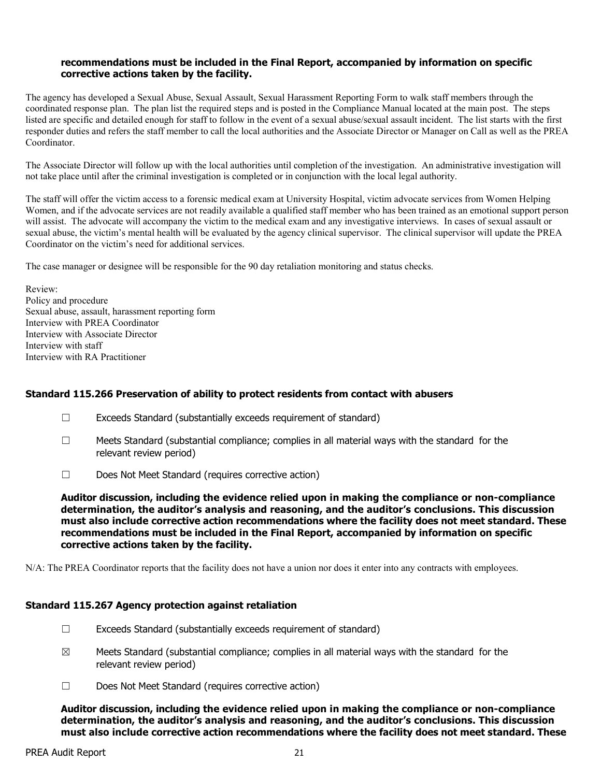#### recommendations must be included in the Final Report, accompanied by information on specific corrective actions taken by the facility.

The agency has developed a Sexual Abuse, Sexual Assault, Sexual Harassment Reporting Form to walk staff members through the coordinated response plan. The plan list the required steps and is posted in the Compliance Manual located at the main post. The steps listed are specific and detailed enough for staff to follow in the event of a sexual abuse/sexual assault incident. The list starts with the first responder duties and refers the staff member to call the local authorities and the Associate Director or Manager on Call as well as the PREA Coordinator.

The Associate Director will follow up with the local authorities until completion of the investigation. An administrative investigation will not take place until after the criminal investigation is completed or in conjunction with the local legal authority.

The staff will offer the victim access to a forensic medical exam at University Hospital, victim advocate services from Women Helping Women, and if the advocate services are not readily available a qualified staff member who has been trained as an emotional support person will assist. The advocate will accompany the victim to the medical exam and any investigative interviews. In cases of sexual assault or sexual abuse, the victim's mental health will be evaluated by the agency clinical supervisor. The clinical supervisor will update the PREA Coordinator on the victim's need for additional services.

The case manager or designee will be responsible for the 90 day retaliation monitoring and status checks.

Review: Policy and procedure Sexual abuse, assault, harassment reporting form Interview with PREA Coordinator Interview with Associate Director Interview with staff Interview with RA Practitioner

#### Standard 115.266 Preservation of ability to protect residents from contact with abusers

- $\Box$  Exceeds Standard (substantially exceeds requirement of standard)
- $\Box$  Meets Standard (substantial compliance; complies in all material ways with the standard for the relevant review period)
- ☐ Does Not Meet Standard (requires corrective action)

Auditor discussion, including the evidence relied upon in making the compliance or non-compliance determination, the auditor's analysis and reasoning, and the auditor's conclusions. This discussion must also include corrective action recommendations where the facility does not meet standard. These recommendations must be included in the Final Report, accompanied by information on specific corrective actions taken by the facility.

N/A: The PREA Coordinator reports that the facility does not have a union nor does it enter into any contracts with employees.

#### Standard 115.267 Agency protection against retaliation

- $\Box$  Exceeds Standard (substantially exceeds requirement of standard)
- $\boxtimes$  Meets Standard (substantial compliance; complies in all material ways with the standard for the relevant review period)
- ☐ Does Not Meet Standard (requires corrective action)

Auditor discussion, including the evidence relied upon in making the compliance or non-compliance determination, the auditor's analysis and reasoning, and the auditor's conclusions. This discussion must also include corrective action recommendations where the facility does not meet standard. These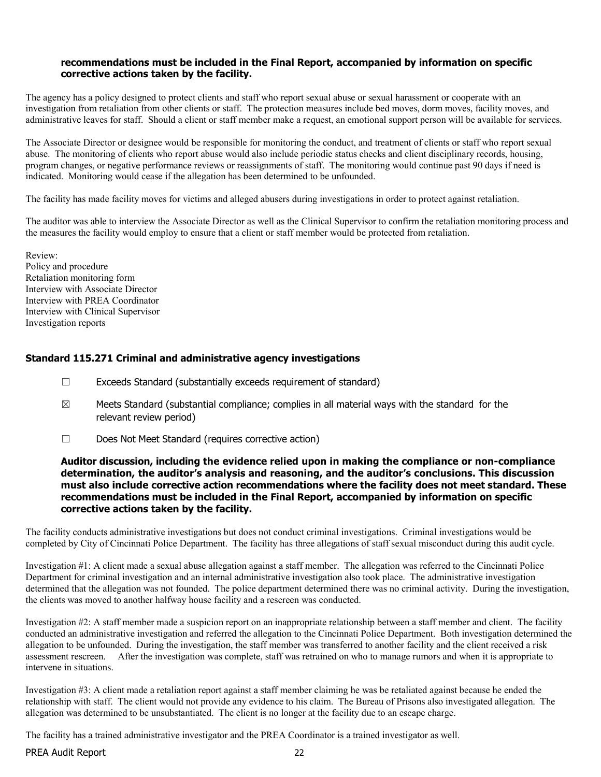#### recommendations must be included in the Final Report, accompanied by information on specific corrective actions taken by the facility.

The agency has a policy designed to protect clients and staff who report sexual abuse or sexual harassment or cooperate with an investigation from retaliation from other clients or staff. The protection measures include bed moves, dorm moves, facility moves, and administrative leaves for staff. Should a client or staff member make a request, an emotional support person will be available for services.

The Associate Director or designee would be responsible for monitoring the conduct, and treatment of clients or staff who report sexual abuse. The monitoring of clients who report abuse would also include periodic status checks and client disciplinary records, housing, program changes, or negative performance reviews or reassignments of staff. The monitoring would continue past 90 days if need is indicated. Monitoring would cease if the allegation has been determined to be unfounded.

The facility has made facility moves for victims and alleged abusers during investigations in order to protect against retaliation.

The auditor was able to interview the Associate Director as well as the Clinical Supervisor to confirm the retaliation monitoring process and the measures the facility would employ to ensure that a client or staff member would be protected from retaliation.

Review: Policy and procedure Retaliation monitoring form Interview with Associate Director Interview with PREA Coordinator Interview with Clinical Supervisor Investigation reports

### Standard 115.271 Criminal and administrative agency investigations

- ☐ Exceeds Standard (substantially exceeds requirement of standard)
- $\boxtimes$  Meets Standard (substantial compliance; complies in all material ways with the standard for the relevant review period)
- ☐ Does Not Meet Standard (requires corrective action)

#### Auditor discussion, including the evidence relied upon in making the compliance or non-compliance determination, the auditor's analysis and reasoning, and the auditor's conclusions. This discussion must also include corrective action recommendations where the facility does not meet standard. These recommendations must be included in the Final Report, accompanied by information on specific corrective actions taken by the facility.

The facility conducts administrative investigations but does not conduct criminal investigations. Criminal investigations would be completed by City of Cincinnati Police Department. The facility has three allegations of staff sexual misconduct during this audit cycle.

Investigation #1: A client made a sexual abuse allegation against a staff member. The allegation was referred to the Cincinnati Police Department for criminal investigation and an internal administrative investigation also took place. The administrative investigation determined that the allegation was not founded. The police department determined there was no criminal activity. During the investigation, the clients was moved to another halfway house facility and a rescreen was conducted.

Investigation #2: A staff member made a suspicion report on an inappropriate relationship between a staff member and client. The facility conducted an administrative investigation and referred the allegation to the Cincinnati Police Department. Both investigation determined the allegation to be unfounded. During the investigation, the staff member was transferred to another facility and the client received a risk assessment rescreen. After the investigation was complete, staff was retrained on who to manage rumors and when it is appropriate to intervene in situations.

Investigation #3: A client made a retaliation report against a staff member claiming he was be retaliated against because he ended the relationship with staff. The client would not provide any evidence to his claim. The Bureau of Prisons also investigated allegation. The allegation was determined to be unsubstantiated. The client is no longer at the facility due to an escape charge.

The facility has a trained administrative investigator and the PREA Coordinator is a trained investigator as well.

PREA Audit Report 22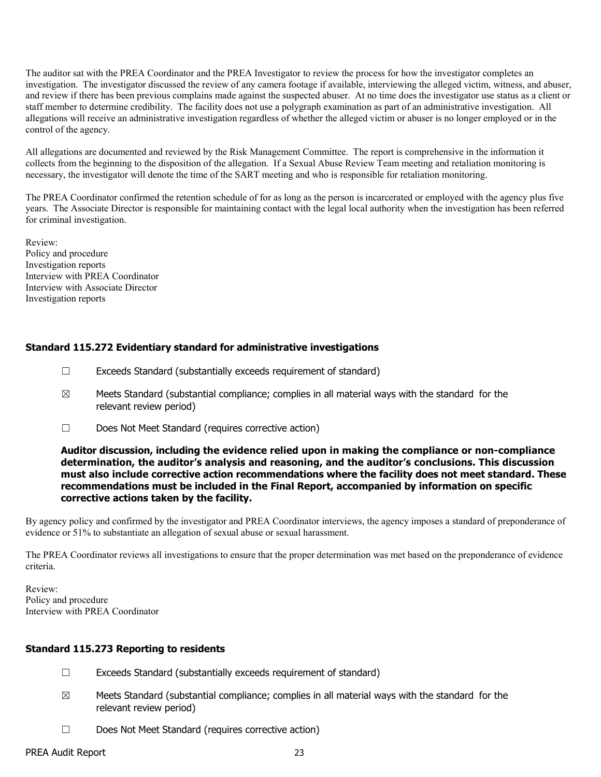The auditor sat with the PREA Coordinator and the PREA Investigator to review the process for how the investigator completes an investigation. The investigator discussed the review of any camera footage if available, interviewing the alleged victim, witness, and abuser, and review if there has been previous complains made against the suspected abuser. At no time does the investigator use status as a client or staff member to determine credibility. The facility does not use a polygraph examination as part of an administrative investigation. All allegations will receive an administrative investigation regardless of whether the alleged victim or abuser is no longer employed or in the control of the agency.

All allegations are documented and reviewed by the Risk Management Committee. The report is comprehensive in the information it collects from the beginning to the disposition of the allegation. If a Sexual Abuse Review Team meeting and retaliation monitoring is necessary, the investigator will denote the time of the SART meeting and who is responsible for retaliation monitoring.

The PREA Coordinator confirmed the retention schedule of for as long as the person is incarcerated or employed with the agency plus five years. The Associate Director is responsible for maintaining contact with the legal local authority when the investigation has been referred for criminal investigation.

Review: Policy and procedure Investigation reports Interview with PREA Coordinator Interview with Associate Director Investigation reports

### Standard 115.272 Evidentiary standard for administrative investigations

- ☐ Exceeds Standard (substantially exceeds requirement of standard)
- $\boxtimes$  Meets Standard (substantial compliance; complies in all material ways with the standard for the relevant review period)
- ☐ Does Not Meet Standard (requires corrective action)

#### Auditor discussion, including the evidence relied upon in making the compliance or non-compliance determination, the auditor's analysis and reasoning, and the auditor's conclusions. This discussion must also include corrective action recommendations where the facility does not meet standard. These recommendations must be included in the Final Report, accompanied by information on specific corrective actions taken by the facility.

By agency policy and confirmed by the investigator and PREA Coordinator interviews, the agency imposes a standard of preponderance of evidence or 51% to substantiate an allegation of sexual abuse or sexual harassment.

The PREA Coordinator reviews all investigations to ensure that the proper determination was met based on the preponderance of evidence criteria.

Review: Policy and procedure Interview with PREA Coordinator

### Standard 115.273 Reporting to residents

- ☐ Exceeds Standard (substantially exceeds requirement of standard)
- $\boxtimes$  Meets Standard (substantial compliance; complies in all material ways with the standard for the relevant review period)
- ☐ Does Not Meet Standard (requires corrective action)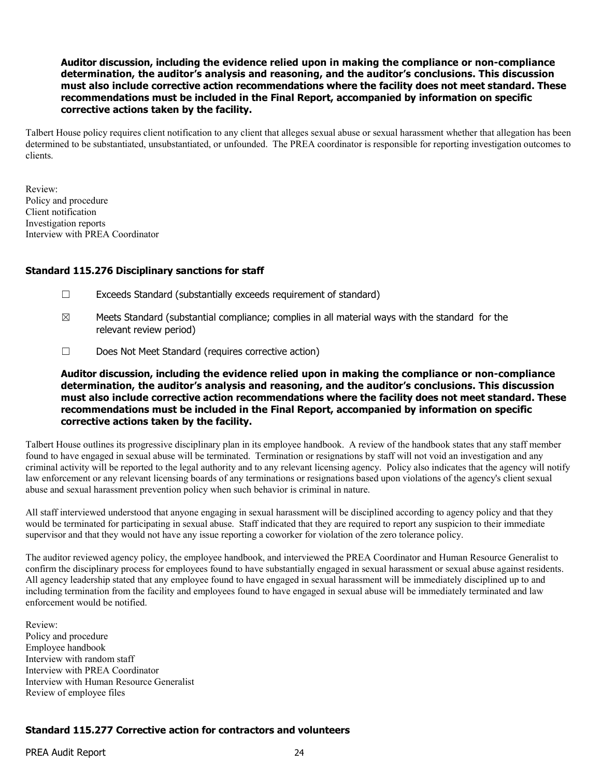Talbert House policy requires client notification to any client that alleges sexual abuse or sexual harassment whether that allegation has been determined to be substantiated, unsubstantiated, or unfounded. The PREA coordinator is responsible for reporting investigation outcomes to clients.

Review: Policy and procedure Client notification Investigation reports Interview with PREA Coordinator

#### Standard 115.276 Disciplinary sanctions for staff

- ☐ Exceeds Standard (substantially exceeds requirement of standard)
- $\boxtimes$  Meets Standard (substantial compliance; complies in all material ways with the standard for the relevant review period)
- ☐ Does Not Meet Standard (requires corrective action)

Auditor discussion, including the evidence relied upon in making the compliance or non-compliance determination, the auditor's analysis and reasoning, and the auditor's conclusions. This discussion must also include corrective action recommendations where the facility does not meet standard. These recommendations must be included in the Final Report, accompanied by information on specific corrective actions taken by the facility.

Talbert House outlines its progressive disciplinary plan in its employee handbook. A review of the handbook states that any staff member found to have engaged in sexual abuse will be terminated. Termination or resignations by staff will not void an investigation and any criminal activity will be reported to the legal authority and to any relevant licensing agency. Policy also indicates that the agency will notify law enforcement or any relevant licensing boards of any terminations or resignations based upon violations of the agency's client sexual abuse and sexual harassment prevention policy when such behavior is criminal in nature.

All staff interviewed understood that anyone engaging in sexual harassment will be disciplined according to agency policy and that they would be terminated for participating in sexual abuse. Staff indicated that they are required to report any suspicion to their immediate supervisor and that they would not have any issue reporting a coworker for violation of the zero tolerance policy.

The auditor reviewed agency policy, the employee handbook, and interviewed the PREA Coordinator and Human Resource Generalist to confirm the disciplinary process for employees found to have substantially engaged in sexual harassment or sexual abuse against residents. All agency leadership stated that any employee found to have engaged in sexual harassment will be immediately disciplined up to and including termination from the facility and employees found to have engaged in sexual abuse will be immediately terminated and law enforcement would be notified.

Review: Policy and procedure Employee handbook Interview with random staff Interview with PREA Coordinator Interview with Human Resource Generalist Review of employee files

# Standard 115.277 Corrective action for contractors and volunteers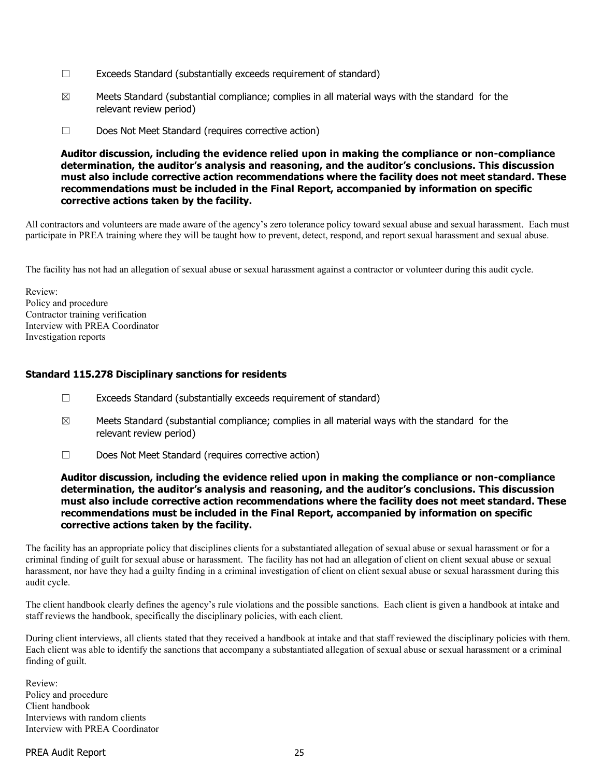- ☐ Exceeds Standard (substantially exceeds requirement of standard)
- $\boxtimes$  Meets Standard (substantial compliance; complies in all material ways with the standard for the relevant review period)
- ☐ Does Not Meet Standard (requires corrective action)

All contractors and volunteers are made aware of the agency's zero tolerance policy toward sexual abuse and sexual harassment. Each must participate in PREA training where they will be taught how to prevent, detect, respond, and report sexual harassment and sexual abuse.

The facility has not had an allegation of sexual abuse or sexual harassment against a contractor or volunteer during this audit cycle.

Review: Policy and procedure Contractor training verification Interview with PREA Coordinator Investigation reports

### Standard 115.278 Disciplinary sanctions for residents

- ☐ Exceeds Standard (substantially exceeds requirement of standard)
- $\boxtimes$  Meets Standard (substantial compliance; complies in all material ways with the standard for the relevant review period)
- ☐ Does Not Meet Standard (requires corrective action)

#### Auditor discussion, including the evidence relied upon in making the compliance or non-compliance determination, the auditor's analysis and reasoning, and the auditor's conclusions. This discussion must also include corrective action recommendations where the facility does not meet standard. These recommendations must be included in the Final Report, accompanied by information on specific corrective actions taken by the facility.

The facility has an appropriate policy that disciplines clients for a substantiated allegation of sexual abuse or sexual harassment or for a criminal finding of guilt for sexual abuse or harassment. The facility has not had an allegation of client on client sexual abuse or sexual harassment, nor have they had a guilty finding in a criminal investigation of client on client sexual abuse or sexual harassment during this audit cycle.

The client handbook clearly defines the agency's rule violations and the possible sanctions. Each client is given a handbook at intake and staff reviews the handbook, specifically the disciplinary policies, with each client.

During client interviews, all clients stated that they received a handbook at intake and that staff reviewed the disciplinary policies with them. Each client was able to identify the sanctions that accompany a substantiated allegation of sexual abuse or sexual harassment or a criminal finding of guilt.

Review: Policy and procedure Client handbook Interviews with random clients Interview with PREA Coordinator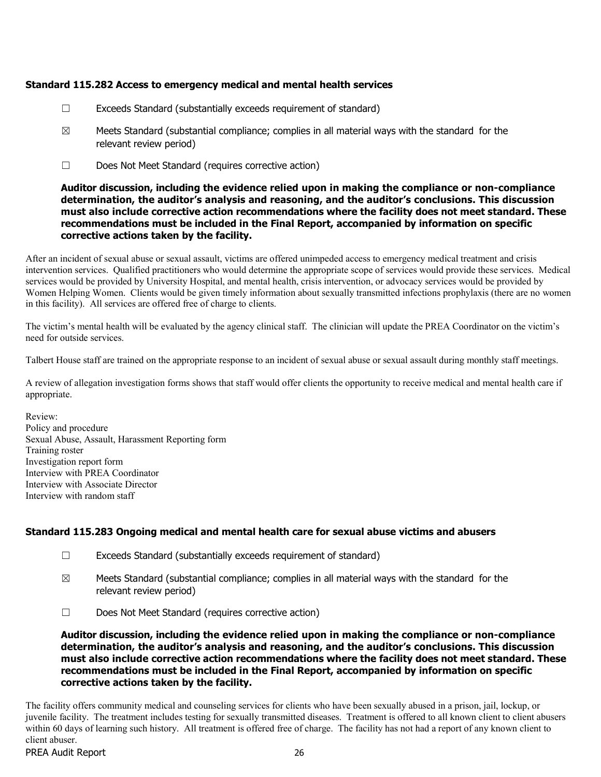### Standard 115.282 Access to emergency medical and mental health services

- ☐ Exceeds Standard (substantially exceeds requirement of standard)
- $\boxtimes$  Meets Standard (substantial compliance; complies in all material ways with the standard for the relevant review period)
- ☐ Does Not Meet Standard (requires corrective action)

Auditor discussion, including the evidence relied upon in making the compliance or non-compliance determination, the auditor's analysis and reasoning, and the auditor's conclusions. This discussion must also include corrective action recommendations where the facility does not meet standard. These recommendations must be included in the Final Report, accompanied by information on specific corrective actions taken by the facility.

After an incident of sexual abuse or sexual assault, victims are offered unimpeded access to emergency medical treatment and crisis intervention services. Qualified practitioners who would determine the appropriate scope of services would provide these services. Medical services would be provided by University Hospital, and mental health, crisis intervention, or advocacy services would be provided by Women Helping Women. Clients would be given timely information about sexually transmitted infections prophylaxis (there are no women in this facility). All services are offered free of charge to clients.

The victim's mental health will be evaluated by the agency clinical staff. The clinician will update the PREA Coordinator on the victim's need for outside services.

Talbert House staff are trained on the appropriate response to an incident of sexual abuse or sexual assault during monthly staff meetings.

A review of allegation investigation forms shows that staff would offer clients the opportunity to receive medical and mental health care if appropriate.

Review: Policy and procedure Sexual Abuse, Assault, Harassment Reporting form Training roster Investigation report form Interview with PREA Coordinator Interview with Associate Director Interview with random staff

# Standard 115.283 Ongoing medical and mental health care for sexual abuse victims and abusers

- ☐ Exceeds Standard (substantially exceeds requirement of standard)
- $\boxtimes$  Meets Standard (substantial compliance; complies in all material ways with the standard for the relevant review period)
- ☐ Does Not Meet Standard (requires corrective action)

Auditor discussion, including the evidence relied upon in making the compliance or non-compliance determination, the auditor's analysis and reasoning, and the auditor's conclusions. This discussion must also include corrective action recommendations where the facility does not meet standard. These recommendations must be included in the Final Report, accompanied by information on specific corrective actions taken by the facility.

The facility offers community medical and counseling services for clients who have been sexually abused in a prison, jail, lockup, or juvenile facility. The treatment includes testing for sexually transmitted diseases. Treatment is offered to all known client to client abusers within 60 days of learning such history. All treatment is offered free of charge. The facility has not had a report of any known client to client abuser.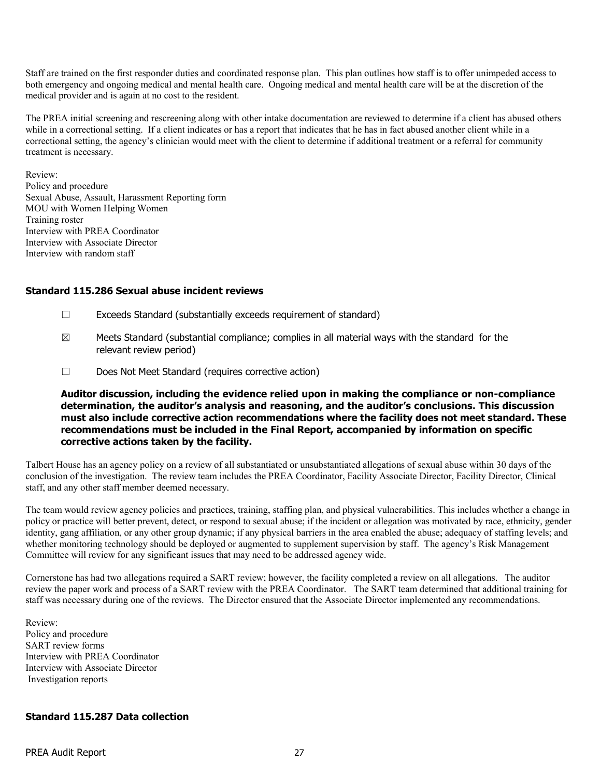Staff are trained on the first responder duties and coordinated response plan. This plan outlines how staff is to offer unimpeded access to both emergency and ongoing medical and mental health care. Ongoing medical and mental health care will be at the discretion of the medical provider and is again at no cost to the resident.

The PREA initial screening and rescreening along with other intake documentation are reviewed to determine if a client has abused others while in a correctional setting. If a client indicates or has a report that indicates that he has in fact abused another client while in a correctional setting, the agency's clinician would meet with the client to determine if additional treatment or a referral for community treatment is necessary.

Review: Policy and procedure Sexual Abuse, Assault, Harassment Reporting form MOU with Women Helping Women Training roster Interview with PREA Coordinator Interview with Associate Director Interview with random staff

#### Standard 115.286 Sexual abuse incident reviews

- ☐ Exceeds Standard (substantially exceeds requirement of standard)
- $\boxtimes$  Meets Standard (substantial compliance; complies in all material ways with the standard for the relevant review period)
- ☐ Does Not Meet Standard (requires corrective action)

Auditor discussion, including the evidence relied upon in making the compliance or non-compliance determination, the auditor's analysis and reasoning, and the auditor's conclusions. This discussion must also include corrective action recommendations where the facility does not meet standard. These recommendations must be included in the Final Report, accompanied by information on specific corrective actions taken by the facility.

Talbert House has an agency policy on a review of all substantiated or unsubstantiated allegations of sexual abuse within 30 days of the conclusion of the investigation. The review team includes the PREA Coordinator, Facility Associate Director, Facility Director, Clinical staff, and any other staff member deemed necessary.

The team would review agency policies and practices, training, staffing plan, and physical vulnerabilities. This includes whether a change in policy or practice will better prevent, detect, or respond to sexual abuse; if the incident or allegation was motivated by race, ethnicity, gender identity, gang affiliation, or any other group dynamic; if any physical barriers in the area enabled the abuse; adequacy of staffing levels; and whether monitoring technology should be deployed or augmented to supplement supervision by staff. The agency's Risk Management Committee will review for any significant issues that may need to be addressed agency wide.

Cornerstone has had two allegations required a SART review; however, the facility completed a review on all allegations. The auditor review the paper work and process of a SART review with the PREA Coordinator. The SART team determined that additional training for staff was necessary during one of the reviews. The Director ensured that the Associate Director implemented any recommendations.

Review: Policy and procedure SART review forms Interview with PREA Coordinator Interview with Associate Director Investigation reports

#### Standard 115.287 Data collection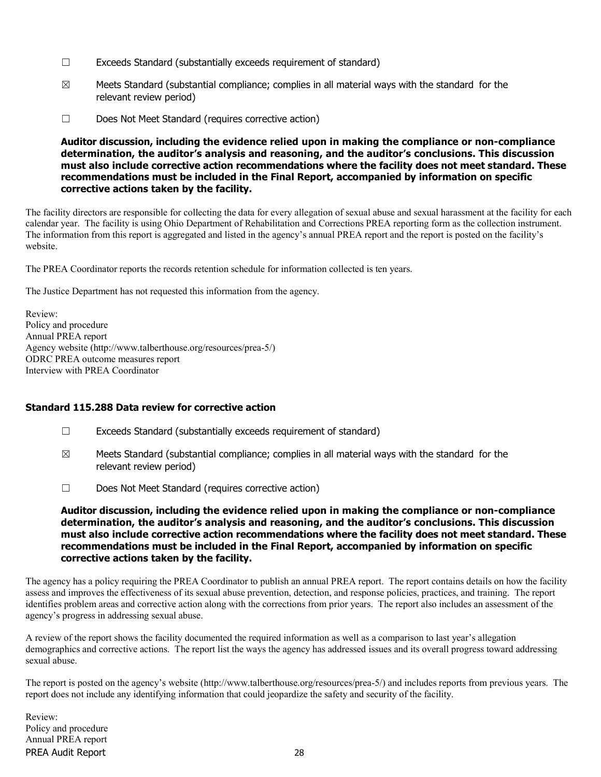- ☐ Exceeds Standard (substantially exceeds requirement of standard)
- $\boxtimes$  Meets Standard (substantial compliance; complies in all material ways with the standard for the relevant review period)
- ☐ Does Not Meet Standard (requires corrective action)

The facility directors are responsible for collecting the data for every allegation of sexual abuse and sexual harassment at the facility for each calendar year. The facility is using Ohio Department of Rehabilitation and Corrections PREA reporting form as the collection instrument. The information from this report is aggregated and listed in the agency's annual PREA report and the report is posted on the facility's website.

The PREA Coordinator reports the records retention schedule for information collected is ten years.

The Justice Department has not requested this information from the agency.

Review: Policy and procedure Annual PREA report Agency website (http://www.talberthouse.org/resources/prea-5/) ODRC PREA outcome measures report Interview with PREA Coordinator

### Standard 115.288 Data review for corrective action

- ☐ Exceeds Standard (substantially exceeds requirement of standard)
- $\boxtimes$  Meets Standard (substantial compliance; complies in all material ways with the standard for the relevant review period)
- ☐ Does Not Meet Standard (requires corrective action)

Auditor discussion, including the evidence relied upon in making the compliance or non-compliance determination, the auditor's analysis and reasoning, and the auditor's conclusions. This discussion must also include corrective action recommendations where the facility does not meet standard. These recommendations must be included in the Final Report, accompanied by information on specific corrective actions taken by the facility.

The agency has a policy requiring the PREA Coordinator to publish an annual PREA report. The report contains details on how the facility assess and improves the effectiveness of its sexual abuse prevention, detection, and response policies, practices, and training. The report identifies problem areas and corrective action along with the corrections from prior years. The report also includes an assessment of the agency's progress in addressing sexual abuse.

A review of the report shows the facility documented the required information as well as a comparison to last year's allegation demographics and corrective actions. The report list the ways the agency has addressed issues and its overall progress toward addressing sexual abuse.

The report is posted on the agency's website (http://www.talberthouse.org/resources/prea-5/) and includes reports from previous years. The report does not include any identifying information that could jeopardize the safety and security of the facility.

PREA Audit Report 28 Review: Policy and procedure Annual PREA report